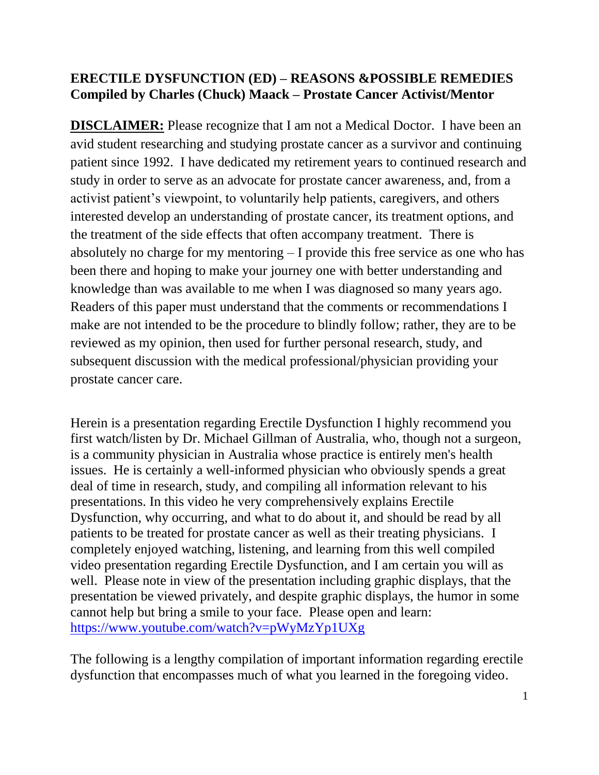### **ERECTILE DYSFUNCTION (ED) – REASONS &POSSIBLE REMEDIES Compiled by Charles (Chuck) Maack – Prostate Cancer Activist/Mentor**

**DISCLAIMER:** Please recognize that I am not a Medical Doctor. I have been an avid student researching and studying prostate cancer as a survivor and continuing patient since 1992. I have dedicated my retirement years to continued research and study in order to serve as an advocate for prostate cancer awareness, and, from a activist patient's viewpoint, to voluntarily help patients, caregivers, and others interested develop an understanding of prostate cancer, its treatment options, and the treatment of the side effects that often accompany treatment. There is absolutely no charge for my mentoring – I provide this free service as one who has been there and hoping to make your journey one with better understanding and knowledge than was available to me when I was diagnosed so many years ago. Readers of this paper must understand that the comments or recommendations I make are not intended to be the procedure to blindly follow; rather, they are to be reviewed as my opinion, then used for further personal research, study, and subsequent discussion with the medical professional/physician providing your prostate cancer care.

Herein is a presentation regarding Erectile Dysfunction I highly recommend you first watch/listen by Dr. Michael Gillman of Australia, who, though not a surgeon, is a community physician in Australia whose practice is entirely men's health issues. He is certainly a well-informed physician who obviously spends a great deal of time in research, study, and compiling all information relevant to his presentations. In this video he very comprehensively explains Erectile Dysfunction, why occurring, and what to do about it, and should be read by all patients to be treated for prostate cancer as well as their treating physicians. I completely enjoyed watching, listening, and learning from this well compiled video presentation regarding Erectile Dysfunction, and I am certain you will as well. Please note in view of the presentation including graphic displays, that the presentation be viewed privately, and despite graphic displays, the humor in some cannot help but bring a smile to your face. Please open and learn: <https://www.youtube.com/watch?v=pWyMzYp1UXg>

The following is a lengthy compilation of important information regarding erectile dysfunction that encompasses much of what you learned in the foregoing video.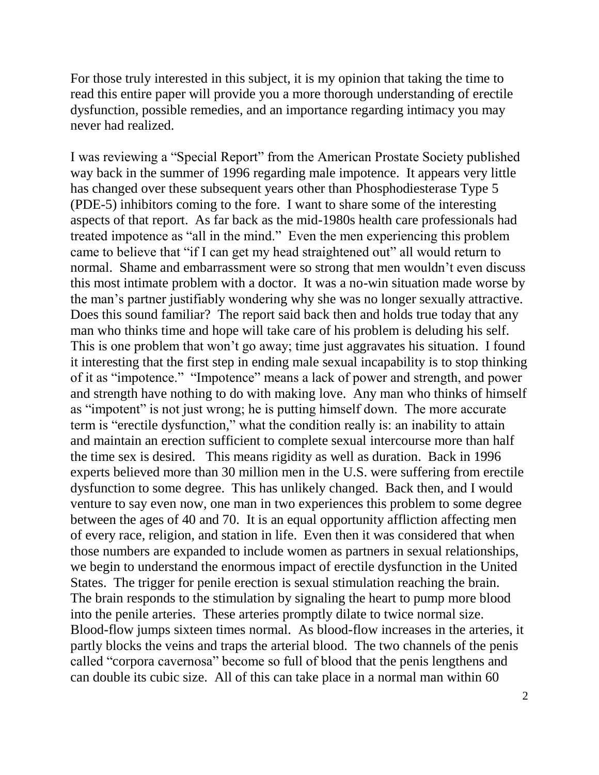For those truly interested in this subject, it is my opinion that taking the time to read this entire paper will provide you a more thorough understanding of erectile dysfunction, possible remedies, and an importance regarding intimacy you may never had realized.

I was reviewing a "Special Report" from the American Prostate Society published way back in the summer of 1996 regarding male impotence. It appears very little has changed over these subsequent years other than Phosphodiesterase Type 5 (PDE-5) inhibitors coming to the fore. I want to share some of the interesting aspects of that report. As far back as the mid-1980s health care professionals had treated impotence as "all in the mind." Even the men experiencing this problem came to believe that "if I can get my head straightened out" all would return to normal. Shame and embarrassment were so strong that men wouldn't even discuss this most intimate problem with a doctor. It was a no-win situation made worse by the man's partner justifiably wondering why she was no longer sexually attractive. Does this sound familiar? The report said back then and holds true today that any man who thinks time and hope will take care of his problem is deluding his self. This is one problem that won't go away; time just aggravates his situation. I found it interesting that the first step in ending male sexual incapability is to stop thinking of it as "impotence." "Impotence" means a lack of power and strength, and power and strength have nothing to do with making love. Any man who thinks of himself as "impotent" is not just wrong; he is putting himself down. The more accurate term is "erectile dysfunction," what the condition really is: an inability to attain and maintain an erection sufficient to complete sexual intercourse more than half the time sex is desired. This means rigidity as well as duration. Back in 1996 experts believed more than 30 million men in the U.S. were suffering from erectile dysfunction to some degree. This has unlikely changed. Back then, and I would venture to say even now, one man in two experiences this problem to some degree between the ages of 40 and 70. It is an equal opportunity affliction affecting men of every race, religion, and station in life. Even then it was considered that when those numbers are expanded to include women as partners in sexual relationships, we begin to understand the enormous impact of erectile dysfunction in the United States. The trigger for penile erection is sexual stimulation reaching the brain. The brain responds to the stimulation by signaling the heart to pump more blood into the penile arteries. These arteries promptly dilate to twice normal size. Blood-flow jumps sixteen times normal. As blood-flow increases in the arteries, it partly blocks the veins and traps the arterial blood. The two channels of the penis called "corpora cavernosa" become so full of blood that the penis lengthens and can double its cubic size. All of this can take place in a normal man within 60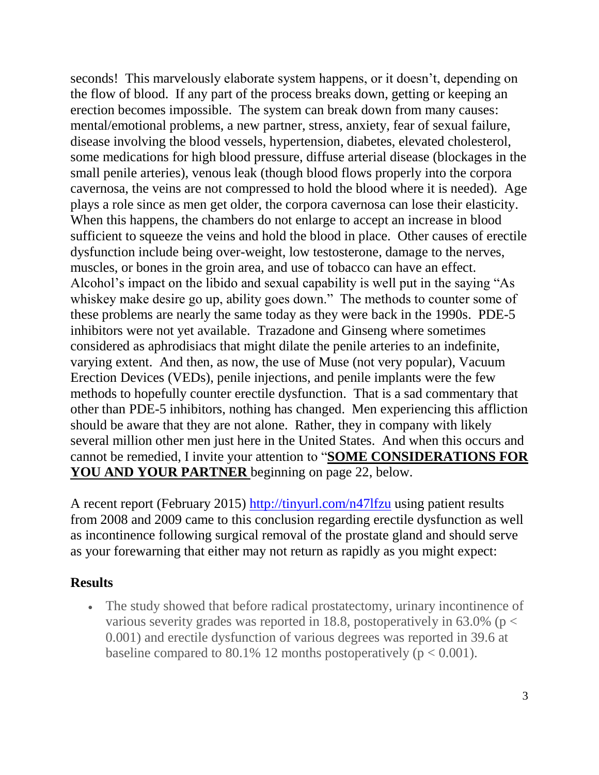seconds! This marvelously elaborate system happens, or it doesn't, depending on the flow of blood. If any part of the process breaks down, getting or keeping an erection becomes impossible. The system can break down from many causes: mental/emotional problems, a new partner, stress, anxiety, fear of sexual failure, disease involving the blood vessels, hypertension, diabetes, elevated cholesterol, some medications for high blood pressure, diffuse arterial disease (blockages in the small penile arteries), venous leak (though blood flows properly into the corpora cavernosa, the veins are not compressed to hold the blood where it is needed). Age plays a role since as men get older, the corpora cavernosa can lose their elasticity. When this happens, the chambers do not enlarge to accept an increase in blood sufficient to squeeze the veins and hold the blood in place. Other causes of erectile dysfunction include being over-weight, low testosterone, damage to the nerves, muscles, or bones in the groin area, and use of tobacco can have an effect. Alcohol's impact on the libido and sexual capability is well put in the saying "As whiskey make desire go up, ability goes down." The methods to counter some of these problems are nearly the same today as they were back in the 1990s. PDE-5 inhibitors were not yet available. Trazadone and Ginseng where sometimes considered as aphrodisiacs that might dilate the penile arteries to an indefinite, varying extent. And then, as now, the use of Muse (not very popular), Vacuum Erection Devices (VEDs), penile injections, and penile implants were the few methods to hopefully counter erectile dysfunction. That is a sad commentary that other than PDE-5 inhibitors, nothing has changed. Men experiencing this affliction should be aware that they are not alone. Rather, they in company with likely several million other men just here in the United States. And when this occurs and cannot be remedied, I invite your attention to "**SOME CONSIDERATIONS FOR YOU AND YOUR PARTNER** beginning on page 22, below.

A recent report (February 2015)<http://tinyurl.com/n47lfzu> using patient results from 2008 and 2009 came to this conclusion regarding erectile dysfunction as well as incontinence following surgical removal of the prostate gland and should serve as your forewarning that either may not return as rapidly as you might expect:

#### **Results**

 The study showed that before radical prostatectomy, urinary incontinence of various severity grades was reported in 18.8, postoperatively in  $63.0\%$  (p < 0.001) and erectile dysfunction of various degrees was reported in 39.6 at baseline compared to 80.1% 12 months postoperatively ( $p < 0.001$ ).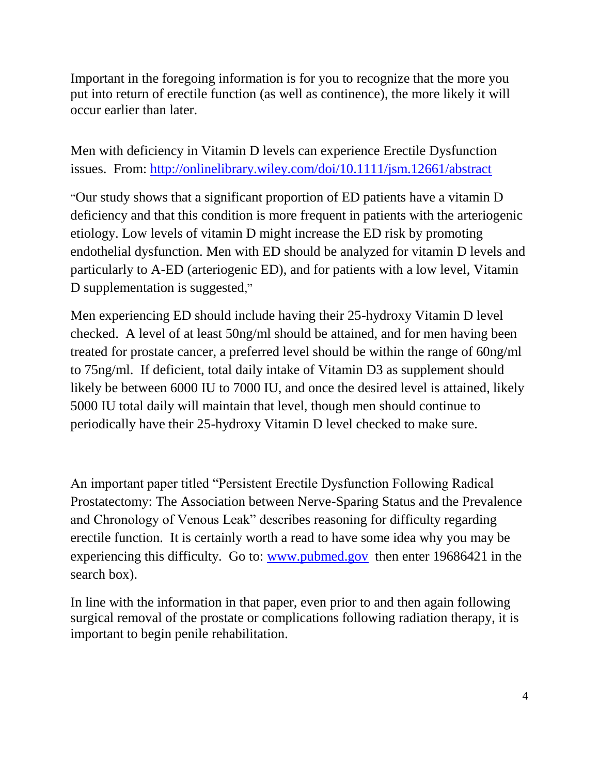Important in the foregoing information is for you to recognize that the more you put into return of erectile function (as well as continence), the more likely it will occur earlier than later.

Men with deficiency in Vitamin D levels can experience Erectile Dysfunction issues. From:<http://onlinelibrary.wiley.com/doi/10.1111/jsm.12661/abstract>

"Our study shows that a significant proportion of ED patients have a vitamin D deficiency and that this condition is more frequent in patients with the arteriogenic etiology. Low levels of vitamin D might increase the ED risk by promoting endothelial dysfunction. Men with ED should be analyzed for vitamin D levels and particularly to A-ED (arteriogenic ED), and for patients with a low level, Vitamin D supplementation is suggested,"

Men experiencing ED should include having their 25-hydroxy Vitamin D level checked. A level of at least 50ng/ml should be attained, and for men having been treated for prostate cancer, a preferred level should be within the range of 60ng/ml to 75ng/ml. If deficient, total daily intake of Vitamin D3 as supplement should likely be between 6000 IU to 7000 IU, and once the desired level is attained, likely 5000 IU total daily will maintain that level, though men should continue to periodically have their 25-hydroxy Vitamin D level checked to make sure.

An important paper titled "Persistent Erectile Dysfunction Following Radical Prostatectomy: The Association between Nerve-Sparing Status and the Prevalence and Chronology of Venous Leak" describes reasoning for difficulty regarding erectile function. It is certainly worth a read to have some idea why you may be experiencing this difficulty. Go to: [www.pubmed.gov](http://www.pubmed.gov/) then enter 19686421 in the search box).

In line with the information in that paper, even prior to and then again following surgical removal of the prostate or complications following radiation therapy, it is important to begin penile rehabilitation.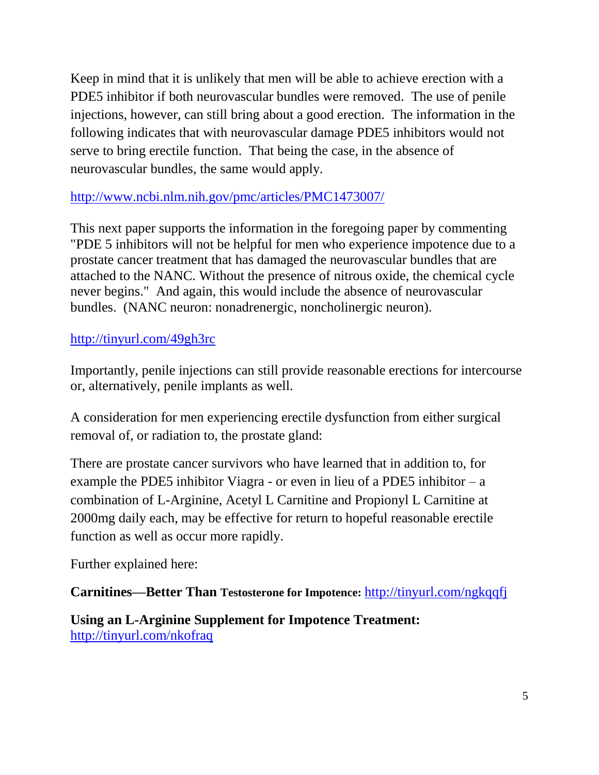Keep in mind that it is unlikely that men will be able to achieve erection with a PDE5 inhibitor if both neurovascular bundles were removed. The use of penile injections, however, can still bring about a good erection. The information in the following indicates that with neurovascular damage PDE5 inhibitors would not serve to bring erectile function. That being the case, in the absence of neurovascular bundles, the same would apply.

### <http://www.ncbi.nlm.nih.gov/pmc/articles/PMC1473007/>

This next paper supports the information in the foregoing paper by commenting "PDE 5 inhibitors will not be helpful for men who experience impotence due to a prostate cancer treatment that has damaged the neurovascular bundles that are attached to the NANC. Without the presence of nitrous oxide, the chemical cycle never begins." And again, this would include the absence of neurovascular bundles. (NANC neuron: nonadrenergic, noncholinergic neuron).

# <http://tinyurl.com/49gh3rc>

Importantly, penile injections can still provide reasonable erections for intercourse or, alternatively, penile implants as well.

A consideration for men experiencing erectile dysfunction from either surgical removal of, or radiation to, the prostate gland:

There are prostate cancer survivors who have learned that in addition to, for example the PDE5 inhibitor Viagra - or even in lieu of a PDE5 inhibitor  $-a$ combination of L-Arginine, Acetyl L Carnitine and Propionyl L Carnitine at 2000mg daily each, may be effective for return to hopeful reasonable erectile function as well as occur more rapidly.

Further explained here:

**Carnitines—Better Than Testosterone for Impotence:** <http://tinyurl.com/ngkqqfj>

**Using an L-Arginine Supplement for Impotence Treatment:**  <http://tinyurl.com/nkofraq>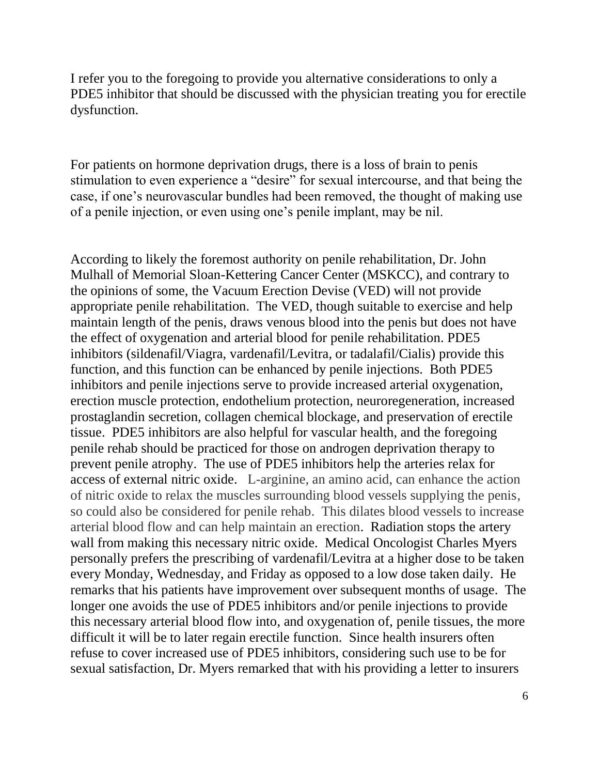I refer you to the foregoing to provide you alternative considerations to only a PDE5 inhibitor that should be discussed with the physician treating you for erectile dysfunction.

For patients on hormone deprivation drugs, there is a loss of brain to penis stimulation to even experience a "desire" for sexual intercourse, and that being the case, if one's neurovascular bundles had been removed, the thought of making use of a penile injection, or even using one's penile implant, may be nil.

According to likely the foremost authority on penile rehabilitation, Dr. John Mulhall of Memorial Sloan-Kettering Cancer Center (MSKCC), and contrary to the opinions of some, the Vacuum Erection Devise (VED) will not provide appropriate penile rehabilitation. The VED, though suitable to exercise and help maintain length of the penis, draws venous blood into the penis but does not have the effect of oxygenation and arterial blood for penile rehabilitation. PDE5 inhibitors (sildenafil/Viagra, vardenafil/Levitra, or tadalafil/Cialis) provide this function, and this function can be enhanced by penile injections. Both PDE5 inhibitors and penile injections serve to provide increased arterial oxygenation, erection muscle protection, endothelium protection, neuroregeneration, increased prostaglandin secretion, collagen chemical blockage, and preservation of erectile tissue. PDE5 inhibitors are also helpful for vascular health, and the foregoing penile rehab should be practiced for those on androgen deprivation therapy to prevent penile atrophy. The use of PDE5 inhibitors help the arteries relax for access of external nitric oxide. L-arginine, an amino acid, can enhance the action of nitric oxide to relax the muscles surrounding blood vessels supplying the penis, so could also be considered for penile rehab. This dilates blood vessels to increase arterial blood flow and can help maintain an erection. Radiation stops the artery wall from making this necessary nitric oxide. Medical Oncologist Charles Myers personally prefers the prescribing of vardenafil/Levitra at a higher dose to be taken every Monday, Wednesday, and Friday as opposed to a low dose taken daily. He remarks that his patients have improvement over subsequent months of usage. The longer one avoids the use of PDE5 inhibitors and/or penile injections to provide this necessary arterial blood flow into, and oxygenation of, penile tissues, the more difficult it will be to later regain erectile function. Since health insurers often refuse to cover increased use of PDE5 inhibitors, considering such use to be for sexual satisfaction, Dr. Myers remarked that with his providing a letter to insurers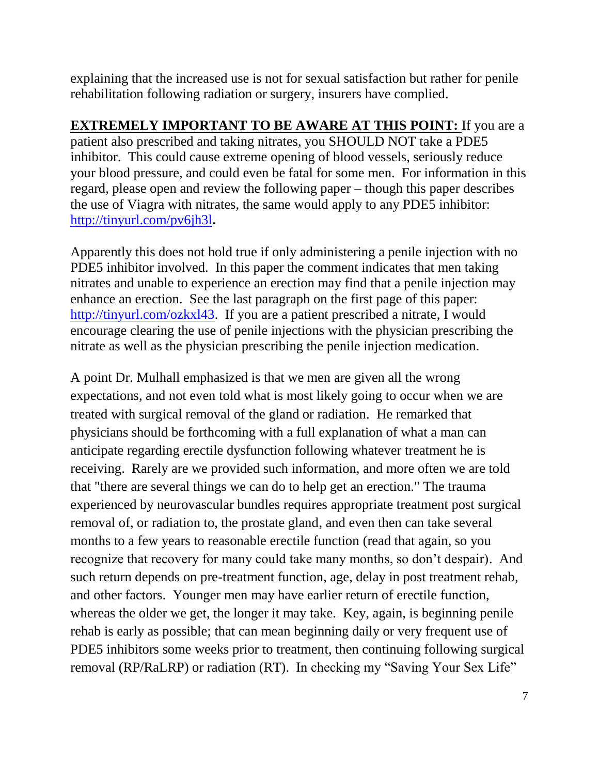explaining that the increased use is not for sexual satisfaction but rather for penile rehabilitation following radiation or surgery, insurers have complied.

**EXTREMELY IMPORTANT TO BE AWARE AT THIS POINT:** If you are a patient also prescribed and taking nitrates, you SHOULD NOT take a PDE5 inhibitor. This could cause extreme opening of blood vessels, seriously reduce your blood pressure, and could even be fatal for some men. For information in this regard, please open and review the following paper – though this paper describes the use of Viagra with nitrates, the same would apply to any PDE5 inhibitor: <http://tinyurl.com/pv6jh3l>**.** 

Apparently this does not hold true if only administering a penile injection with no PDE5 inhibitor involved. In this paper the comment indicates that men taking nitrates and unable to experience an erection may find that a penile injection may enhance an erection. See the last paragraph on the first page of this paper: [http://tinyurl.com/ozkxl43.](http://tinyurl.com/ozkxl43) If you are a patient prescribed a nitrate, I would encourage clearing the use of penile injections with the physician prescribing the nitrate as well as the physician prescribing the penile injection medication.

A point Dr. Mulhall emphasized is that we men are given all the wrong expectations, and not even told what is most likely going to occur when we are treated with surgical removal of the gland or radiation. He remarked that physicians should be forthcoming with a full explanation of what a man can anticipate regarding erectile dysfunction following whatever treatment he is receiving. Rarely are we provided such information, and more often we are told that "there are several things we can do to help get an erection." The trauma experienced by neurovascular bundles requires appropriate treatment post surgical removal of, or radiation to, the prostate gland, and even then can take several months to a few years to reasonable erectile function (read that again, so you recognize that recovery for many could take many months, so don't despair). And such return depends on pre-treatment function, age, delay in post treatment rehab, and other factors. Younger men may have earlier return of erectile function, whereas the older we get, the longer it may take. Key, again, is beginning penile rehab is early as possible; that can mean beginning daily or very frequent use of PDE5 inhibitors some weeks prior to treatment, then continuing following surgical removal (RP/RaLRP) or radiation (RT). In checking my "Saving Your Sex Life"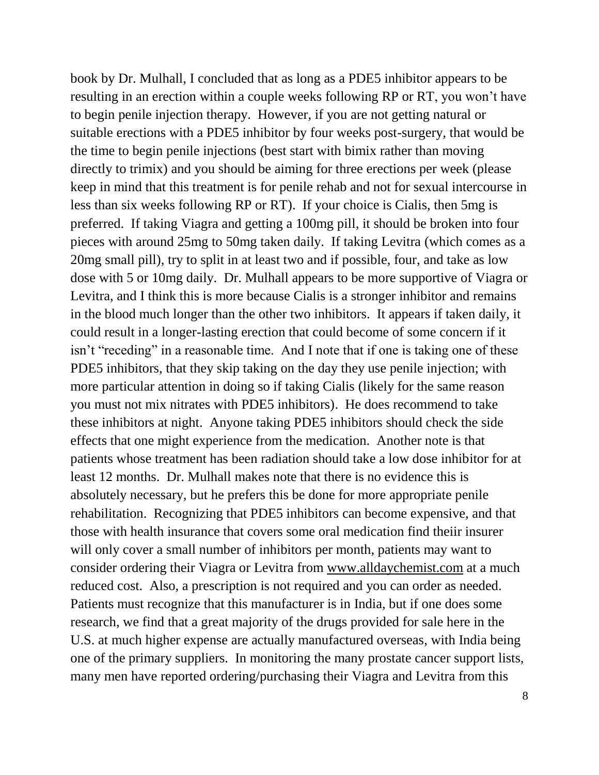book by Dr. Mulhall, I concluded that as long as a PDE5 inhibitor appears to be resulting in an erection within a couple weeks following RP or RT, you won't have to begin penile injection therapy. However, if you are not getting natural or suitable erections with a PDE5 inhibitor by four weeks post-surgery, that would be the time to begin penile injections (best start with bimix rather than moving directly to trimix) and you should be aiming for three erections per week (please keep in mind that this treatment is for penile rehab and not for sexual intercourse in less than six weeks following RP or RT). If your choice is Cialis, then 5mg is preferred. If taking Viagra and getting a 100mg pill, it should be broken into four pieces with around 25mg to 50mg taken daily. If taking Levitra (which comes as a 20mg small pill), try to split in at least two and if possible, four, and take as low dose with 5 or 10mg daily. Dr. Mulhall appears to be more supportive of Viagra or Levitra, and I think this is more because Cialis is a stronger inhibitor and remains in the blood much longer than the other two inhibitors. It appears if taken daily, it could result in a longer-lasting erection that could become of some concern if it isn't "receding" in a reasonable time. And I note that if one is taking one of these PDE5 inhibitors, that they skip taking on the day they use penile injection; with more particular attention in doing so if taking Cialis (likely for the same reason you must not mix nitrates with PDE5 inhibitors). He does recommend to take these inhibitors at night. Anyone taking PDE5 inhibitors should check the side effects that one might experience from the medication. Another note is that patients whose treatment has been radiation should take a low dose inhibitor for at least 12 months. Dr. Mulhall makes note that there is no evidence this is absolutely necessary, but he prefers this be done for more appropriate penile rehabilitation. Recognizing that PDE5 inhibitors can become expensive, and that those with health insurance that covers some oral medication find theiir insurer will only cover a small number of inhibitors per month, patients may want to consider ordering their Viagra or Levitra from [www.alldaychemist.com](http://www.alldaychemist.com/) at a much reduced cost. Also, a prescription is not required and you can order as needed. Patients must recognize that this manufacturer is in India, but if one does some research, we find that a great majority of the drugs provided for sale here in the U.S. at much higher expense are actually manufactured overseas, with India being one of the primary suppliers. In monitoring the many prostate cancer support lists, many men have reported ordering/purchasing their Viagra and Levitra from this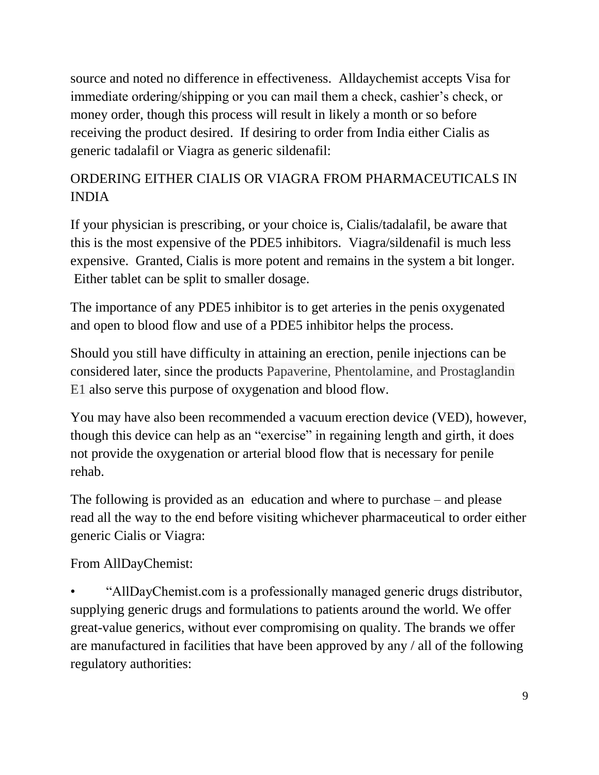source and noted no difference in effectiveness. Alldaychemist accepts Visa for immediate ordering/shipping or you can mail them a check, cashier's check, or money order, though this process will result in likely a month or so before receiving the product desired. If desiring to order from India either Cialis as generic tadalafil or Viagra as generic sildenafil:

# ORDERING EITHER CIALIS OR VIAGRA FROM PHARMACEUTICALS IN INDIA

If your physician is prescribing, or your choice is, Cialis/tadalafil, be aware that this is the most expensive of the PDE5 inhibitors. Viagra/sildenafil is much less expensive. Granted, Cialis is more potent and remains in the system a bit longer. Either tablet can be split to smaller dosage.

The importance of any PDE5 inhibitor is to get arteries in the penis oxygenated and open to blood flow and use of a PDE5 inhibitor helps the process.

Should you still have difficulty in attaining an erection, penile injections can be considered later, since the products Papaverine, Phentolamine, and Prostaglandin E1 also serve this purpose of oxygenation and blood flow.

You may have also been recommended a vacuum erection device (VED), however, though this device can help as an "exercise" in regaining length and girth, it does not provide the oxygenation or arterial blood flow that is necessary for penile rehab.

The following is provided as an education and where to purchase – and please read all the way to the end before visiting whichever pharmaceutical to order either generic Cialis or Viagra:

From AllDayChemist:

• "AllDayChemist.com is a professionally managed generic drugs distributor, supplying generic drugs and formulations to patients around the world. We offer great-value generics, without ever compromising on quality. The brands we offer are manufactured in facilities that have been approved by any / all of the following regulatory authorities: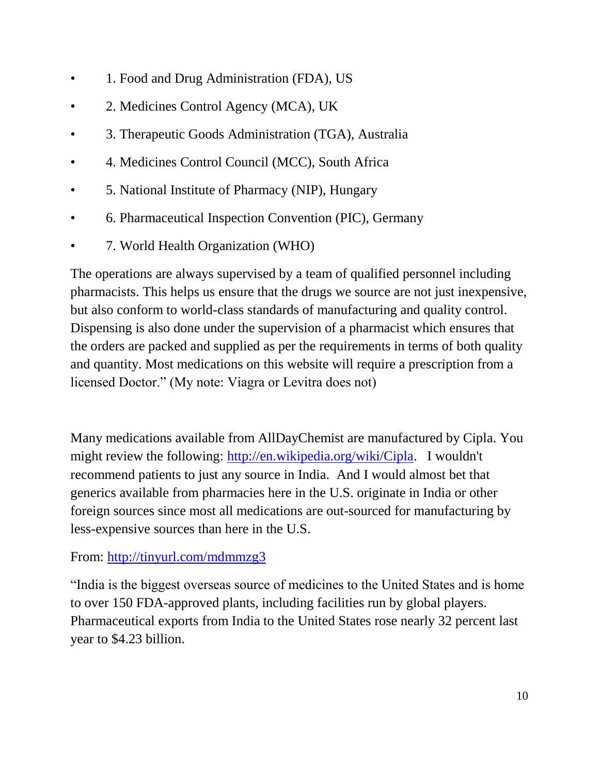- 1. Food and Drug Administration (FDA), US
- 2. Medicines Control Agency (MCA), UK
- 3. Therapeutic Goods Administration (TGA), Australia
- 4. Medicines Control Council (MCC), South Africa
- 5. National Institute of Pharmacy (NIP), Hungary
- 6. Pharmaceutical Inspection Convention (PIC), Germany
- 7. World Health Organization (WHO)

The operations are always supervised by a team of qualified personnel including pharmacists. This helps us ensure that the drugs we source are not just inexpensive, but also conform to world-class standards of manufacturing and quality control. Dispensing is also done under the supervision of a pharmacist which ensures that the orders are packed and supplied as per the requirements in terms of both quality and quantity. Most medications on this website will require a prescription from a licensed Doctor." (My note: Viagra or Levitra does not)

Many medications available from AllDayChemist are manufactured by Cipla. You might review the following: [http://en.wikipedia.org/wiki/Cipla.](http://en.wikipedia.org/wiki/Cipla) I wouldn't recommend patients to just any source in India. And I would almost bet that generics available from pharmacies here in the U.S. originate in India or other foreign sources since most all medications are out-sourced for manufacturing by less-expensive sources than here in the U.S.

# From:<http://tinyurl.com/mdmmzg3>

"India is the biggest overseas source of medicines to the United States and is home to over 150 FDA-approved plants, including facilities run by global players. Pharmaceutical exports from India to the United States rose nearly 32 percent last year to \$4.23 billion.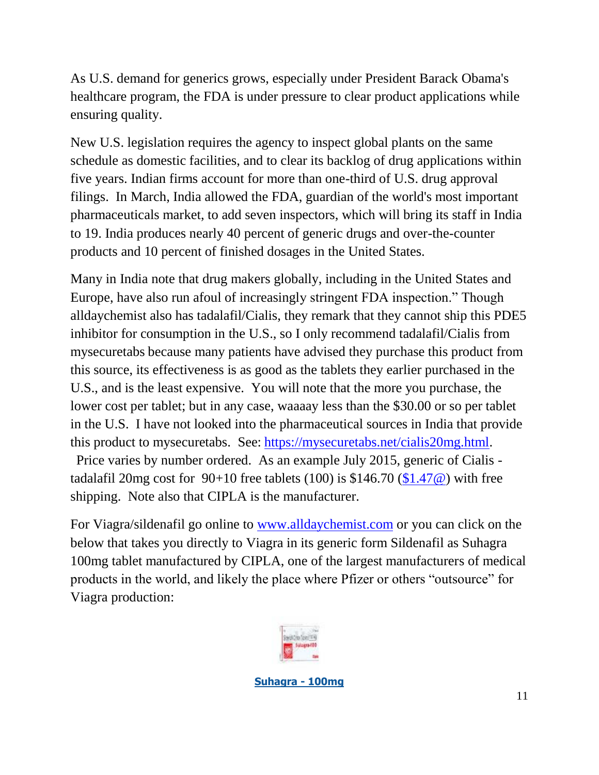As U.S. demand for generics grows, especially under President Barack Obama's healthcare program, the FDA is under pressure to clear product applications while ensuring quality.

New U.S. legislation requires the agency to inspect global plants on the same schedule as domestic facilities, and to clear its backlog of drug applications within five years. Indian firms account for more than one-third of U.S. drug approval filings. In March, India allowed the FDA, guardian of the world's most important pharmaceuticals market, to add seven inspectors, which will bring its staff in India to 19. India produces nearly 40 percent of generic drugs and over-the-counter products and 10 percent of finished dosages in the United States.

Many in India note that drug makers globally, including in the United States and Europe, have also run afoul of increasingly stringent FDA inspection." Though alldaychemist also has tadalafil/Cialis, they remark that they cannot ship this PDE5 inhibitor for consumption in the U.S., so I only recommend tadalafil/Cialis from mysecuretabs because many patients have advised they purchase this product from this source, its effectiveness is as good as the tablets they earlier purchased in the U.S., and is the least expensive. You will note that the more you purchase, the lower cost per tablet; but in any case, waaaay less than the \$30.00 or so per tablet in the U.S. I have not looked into the pharmaceutical sources in India that provide this product to mysecuretabs. See: [https://mysecuretabs.net/cialis20mg.html.](https://mysecuretabs.net/cialis20mg.html)

 Price varies by number ordered. As an example July 2015, generic of Cialis tadalafil 20mg cost for 90+10 free tablets (100) is \$146.70 (\$1.47 $\omega$ ) with free shipping. Note also that CIPLA is the manufacturer.

For Viagra/sildenafil go online to [www.alldaychemist.com](http://www.alldaychemist.com/) or you can click on the below that takes you directly to Viagra in its generic form Sildenafil as Suhagra 100mg tablet manufactured by CIPLA, one of the largest manufacturers of medical products in the world, and likely the place where Pfizer or others "outsource" for Viagra production:



**[Suhagra -](http://www.alldaychemist.com/suhagra-100-mg.html?utm_source=Email-10thJun2014&utm_campaign=Email-10thJun2014&utm_medium=Email&utm_nooverride=1&utm_keyword=blog) 100mg**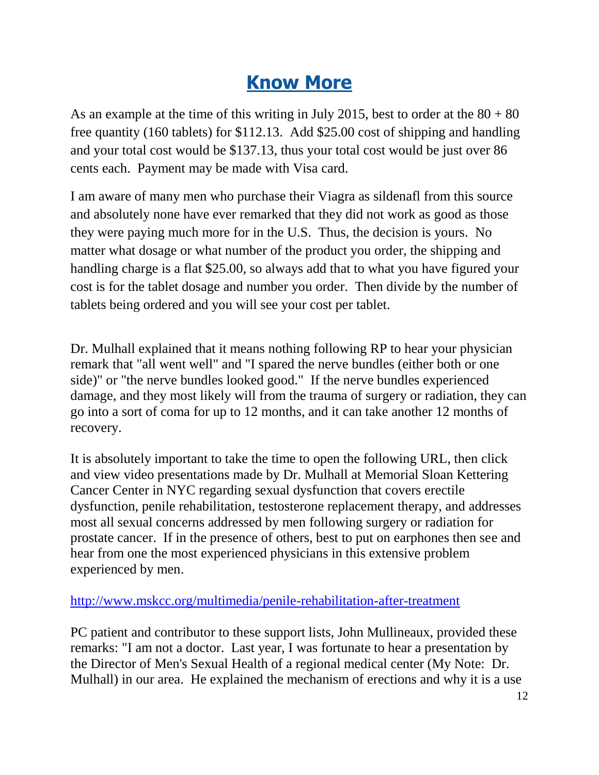# **[Know More](http://www.alldaychemist.com/suhagra-100-mg.html?utm_source=Email-10thJun2014&utm_campaign=Email-10thJun2014&utm_medium=Email&utm_nooverride=1&utm_keyword=blog)**

As an example at the time of this writing in July 2015, best to order at the  $80 + 80$ free quantity (160 tablets) for \$112.13. Add \$25.00 cost of shipping and handling and your total cost would be \$137.13, thus your total cost would be just over 86 cents each. Payment may be made with Visa card.

I am aware of many men who purchase their Viagra as sildenafl from this source and absolutely none have ever remarked that they did not work as good as those they were paying much more for in the U.S. Thus, the decision is yours. No matter what dosage or what number of the product you order, the shipping and handling charge is a flat \$25.00, so always add that to what you have figured your cost is for the tablet dosage and number you order. Then divide by the number of tablets being ordered and you will see your cost per tablet.

Dr. Mulhall explained that it means nothing following RP to hear your physician remark that "all went well" and "I spared the nerve bundles (either both or one side)" or "the nerve bundles looked good." If the nerve bundles experienced damage, and they most likely will from the trauma of surgery or radiation, they can go into a sort of coma for up to 12 months, and it can take another 12 months of recovery.

It is absolutely important to take the time to open the following URL, then click and view video presentations made by Dr. Mulhall at Memorial Sloan Kettering Cancer Center in NYC regarding sexual dysfunction that covers erectile dysfunction, penile rehabilitation, testosterone replacement therapy, and addresses most all sexual concerns addressed by men following surgery or radiation for prostate cancer. If in the presence of others, best to put on earphones then see and hear from one the most experienced physicians in this extensive problem experienced by men.

### <http://www.mskcc.org/multimedia/penile-rehabilitation-after-treatment>

PC patient and contributor to these support lists, John Mullineaux, provided these remarks: "I am not a doctor. Last year, I was fortunate to hear a presentation by the Director of Men's Sexual Health of a regional medical center (My Note: Dr. Mulhall) in our area. He explained the mechanism of erections and why it is a use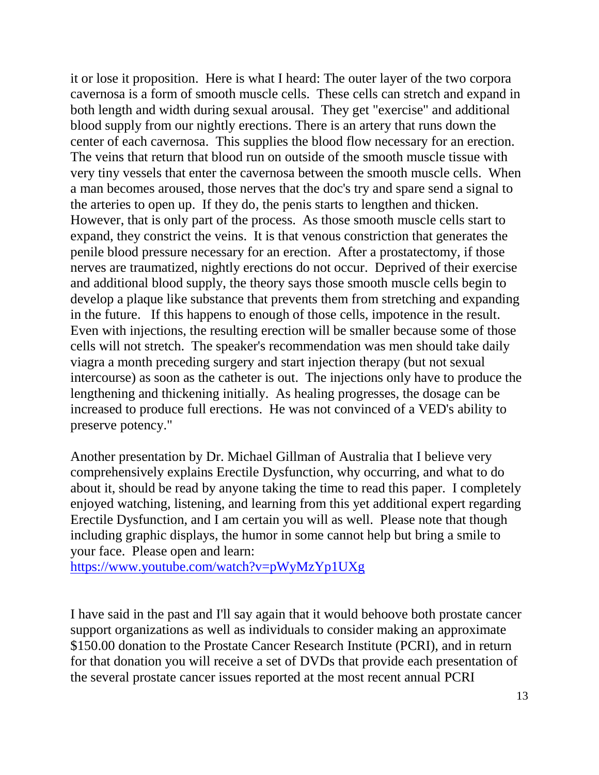it or lose it proposition. Here is what I heard: The outer layer of the two corpora cavernosa is a form of smooth muscle cells. These cells can stretch and expand in both length and width during sexual arousal. They get "exercise" and additional blood supply from our nightly erections. There is an artery that runs down the center of each cavernosa. This supplies the blood flow necessary for an erection. The veins that return that blood run on outside of the smooth muscle tissue with very tiny vessels that enter the cavernosa between the smooth muscle cells. When a man becomes aroused, those nerves that the doc's try and spare send a signal to the arteries to open up. If they do, the penis starts to lengthen and thicken. However, that is only part of the process. As those smooth muscle cells start to expand, they constrict the veins. It is that venous constriction that generates the penile blood pressure necessary for an erection. After a prostatectomy, if those nerves are traumatized, nightly erections do not occur. Deprived of their exercise and additional blood supply, the theory says those smooth muscle cells begin to develop a plaque like substance that prevents them from stretching and expanding in the future. If this happens to enough of those cells, impotence in the result. Even with injections, the resulting erection will be smaller because some of those cells will not stretch. The speaker's recommendation was men should take daily viagra a month preceding surgery and start injection therapy (but not sexual intercourse) as soon as the catheter is out. The injections only have to produce the lengthening and thickening initially. As healing progresses, the dosage can be increased to produce full erections. He was not convinced of a VED's ability to preserve potency."

Another presentation by Dr. Michael Gillman of Australia that I believe very comprehensively explains Erectile Dysfunction, why occurring, and what to do about it, should be read by anyone taking the time to read this paper. I completely enjoyed watching, listening, and learning from this yet additional expert regarding Erectile Dysfunction, and I am certain you will as well. Please note that though including graphic displays, the humor in some cannot help but bring a smile to your face. Please open and learn:

<https://www.youtube.com/watch?v=pWyMzYp1UXg>

I have said in the past and I'll say again that it would behoove both prostate cancer support organizations as well as individuals to consider making an approximate \$150.00 donation to the Prostate Cancer Research Institute (PCRI), and in return for that donation you will receive a set of DVDs that provide each presentation of the several prostate cancer issues reported at the most recent annual PCRI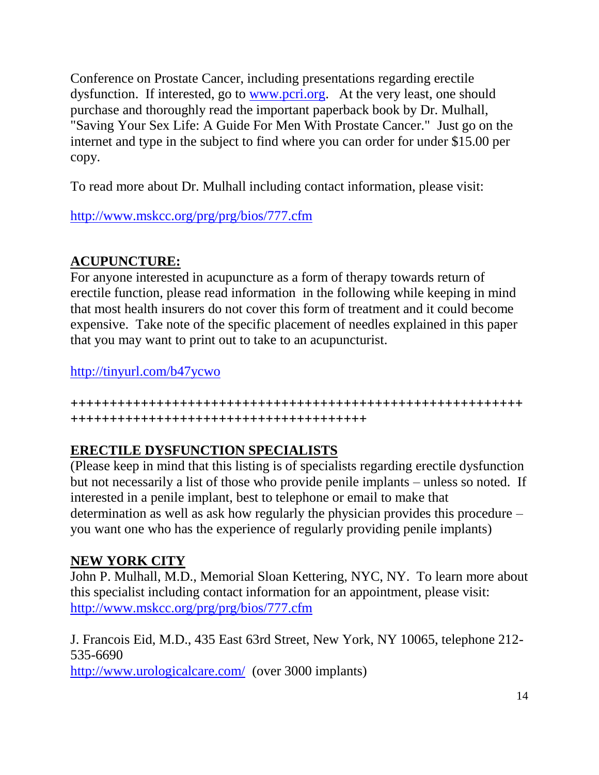Conference on Prostate Cancer, including presentations regarding erectile dysfunction. If interested, go to [www.pcri.org.](http://www.pcri.org/) At the very least, one should purchase and thoroughly read the important paperback book by Dr. Mulhall, "Saving Your Sex Life: A Guide For Men With Prostate Cancer." Just go on the internet and type in the subject to find where you can order for under \$15.00 per copy.

To read more about Dr. Mulhall including contact information, please visit:

<http://www.mskcc.org/prg/prg/bios/777.cfm>

# **ACUPUNCTURE:**

For anyone interested in acupuncture as a form of therapy towards return of erectile function, please read information in the following while keeping in mind that most health insurers do not cover this form of treatment and it could become expensive. Take note of the specific placement of needles explained in this paper that you may want to print out to take to an acupuncturist.

<http://tinyurl.com/b47ycwo>

**++++++++++++++++++++++++++++++++++++++++++++++++++++++++++ ++++++++++++++++++++++++++++++++++++++**

# **ERECTILE DYSFUNCTION SPECIALISTS**

(Please keep in mind that this listing is of specialists regarding erectile dysfunction but not necessarily a list of those who provide penile implants – unless so noted. If interested in a penile implant, best to telephone or email to make that determination as well as ask how regularly the physician provides this procedure – you want one who has the experience of regularly providing penile implants)

# **NEW YORK CITY**

John P. Mulhall, M.D., Memorial Sloan Kettering, NYC, NY. To learn more about this specialist including contact information for an appointment, please visit: <http://www.mskcc.org/prg/prg/bios/777.cfm>

J. Francois Eid, M.D., 435 East 63rd Street, New York, NY 10065, telephone 212- 535-6690

<http://www.urologicalcare.com/>(over 3000 implants)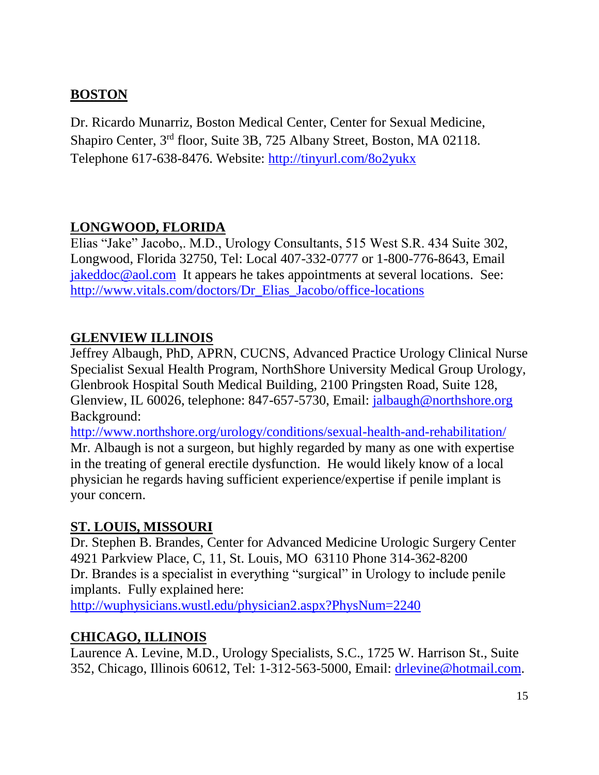### **BOSTON**

Dr. Ricardo Munarriz, Boston Medical Center, Center for Sexual Medicine, Shapiro Center, 3<sup>rd</sup> floor, Suite 3B, 725 Albany Street, Boston, MA 02118. Telephone 617-638-8476. Website:<http://tinyurl.com/8o2yukx>

### **LONGWOOD, FLORIDA**

Elias "Jake" Jacobo,. M.D., Urology Consultants, 515 West S.R. 434 Suite 302, Longwood, Florida 32750, Tel: Local 407-332-0777 or 1-800-776-8643, Email [jakeddoc@aol.com](mailto:jakeddoc@aol.com) It appears he takes appointments at several locations. See: [http://www.vitals.com/doctors/Dr\\_Elias\\_Jacobo/office-locations](http://www.vitals.com/doctors/Dr_Elias_Jacobo/office-locations)

### **GLENVIEW ILLINOIS**

Jeffrey Albaugh, PhD, APRN, CUCNS, Advanced Practice Urology Clinical Nurse Specialist Sexual Health Program, NorthShore University Medical Group Urology, Glenbrook Hospital South Medical Building, 2100 Pringsten Road, Suite 128, Glenview, IL 60026, telephone: 847-657-5730, Email: [jalbaugh@northshore.org](mailto:jalbaugh@northshore.org)  Background:

<http://www.northshore.org/urology/conditions/sexual-health-and-rehabilitation/> Mr. Albaugh is not a surgeon, but highly regarded by many as one with expertise in the treating of general erectile dysfunction. He would likely know of a local physician he regards having sufficient experience/expertise if penile implant is your concern.

### **ST. LOUIS, MISSOURI**

Dr. Stephen B. Brandes, Center for Advanced Medicine Urologic Surgery Center 4921 Parkview Place, C, 11, St. Louis, MO 63110 Phone 314-362-8200 Dr. Brandes is a specialist in everything "surgical" in Urology to include penile implants. Fully explained here:

<http://wuphysicians.wustl.edu/physician2.aspx?PhysNum=2240>

# **CHICAGO, ILLINOIS**

Laurence A. Levine, M.D., Urology Specialists, S.C., 1725 W. Harrison St., Suite 352, Chicago, Illinois 60612, Tel: 1-312-563-5000, Email: [drlevine@hotmail.com.](mailto:drlevine@hotmail.com)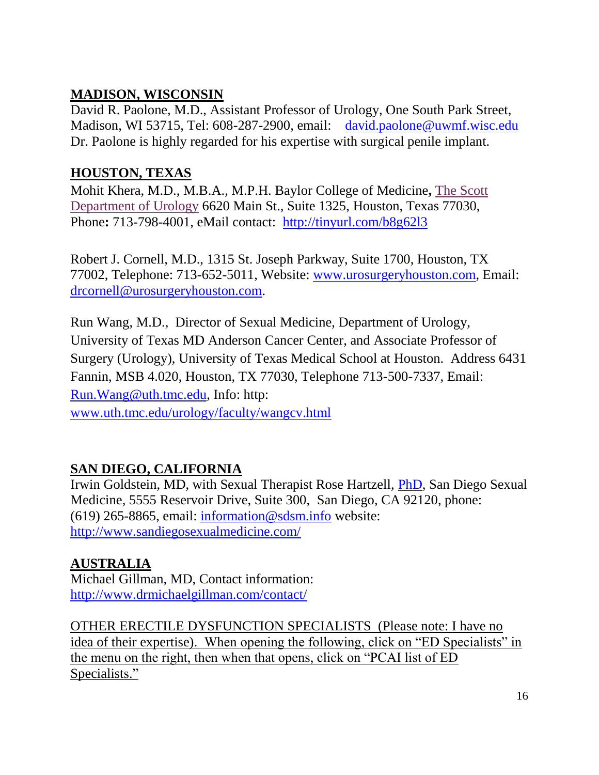# **MADISON, WISCONSIN**

David R. Paolone, M.D., Assistant Professor of Urology, One South Park Street, Madison, WI 53715, Tel: 608-287-2900, email: [david.paolone@uwmf.wisc.edu](mailto:david.paolone@uwmf.wisc.edu) Dr. Paolone is highly regarded for his expertise with surgical penile implant.

# **HOUSTON, TEXAS**

Mohit Khera, M.D., M.B.A., M.P.H. Baylor College of Medicine**,** [The Scott](http://www.bcm.edu/urology/index.cfm?pmid=0)  [Department of Urology](http://www.bcm.edu/urology/index.cfm?pmid=0) 6620 Main St., Suite 1325, Houston, Texas 77030, Phone**:** 713-798-4001, eMail contact: <http://tinyurl.com/b8g62l3>

Robert J. Cornell, M.D., 1315 St. Joseph Parkway, Suite 1700, Houston, TX 77002, Telephone: 713-652-5011, Website: [www.urosurgeryhouston.com,](http://www.urosurgeryhouston.com/) Email: [drcornell@urosurgeryhouston.com.](mailto:drcornell@urosurgeryhouston.com)

Run Wang, M.D., Director of Sexual Medicine, Department of Urology, University of Texas MD Anderson Cancer Center, and Associate Professor of Surgery (Urology), University of Texas Medical School at Houston. Address 6431 Fannin, MSB 4.020, Houston, TX 77030, Telephone 713-500-7337, Email: [Run.Wang@uth.tmc.edu,](mailto:Run.Wang@uth.tmc.edu) Info: http: [www.uth.tmc.edu/urology/faculty/wangcv.html](http://www.uth.tmc.edu/urology/faculty/wangcv.html)

# **SAN DIEGO, CALIFORNIA**

Irwin Goldstein, MD, with Sexual Therapist Rose Hartzell, [PhD,](http://www.sandiegosexualmedicine.com/?page=contact/home) San Diego Sexual Medicine, 5555 Reservoir Drive, Suite 300, San Diego, CA 92120, phone: (619) 265-8865, email: [information@sdsm.info](mailto:information@sdsm.info?subject=Re:%20Information) website: <http://www.sandiegosexualmedicine.com/>

# **AUSTRALIA**

Michael Gillman, MD, Contact information: <http://www.drmichaelgillman.com/contact/>

OTHER ERECTILE DYSFUNCTION SPECIALISTS (Please note: I have no idea of their expertise). When opening the following, click on "ED Specialists" in the menu on the right, then when that opens, click on "PCAI list of ED Specialists."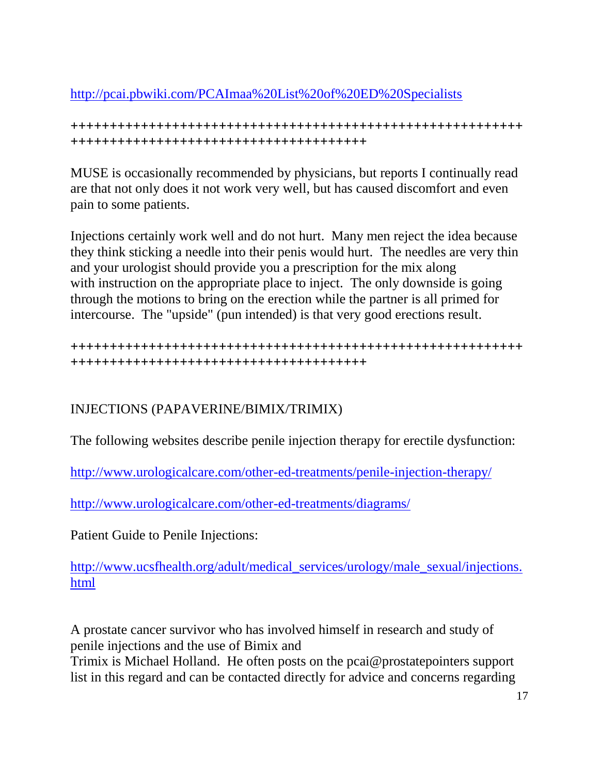<http://pcai.pbwiki.com/PCAImaa%20List%20of%20ED%20Specialists>

**++++++++++++++++++++++++++++++++++++++++++++++++++++++++++ ++++++++++++++++++++++++++++++++++++++**

MUSE is occasionally recommended by physicians, but reports I continually read are that not only does it not work very well, but has caused discomfort and even pain to some patients.

Injections certainly work well and do not hurt. Many men reject the idea because they think sticking a needle into their penis would hurt. The needles are very thin and your urologist should provide you a prescription for the mix along with instruction on the appropriate place to inject. The only downside is going through the motions to bring on the erection while the partner is all primed for intercourse. The "upside" (pun intended) is that very good erections result.

**++++++++++++++++++++++++++++++++++++++++++++++++++++++++++ ++++++++++++++++++++++++++++++++++++++**

# INJECTIONS (PAPAVERINE/BIMIX/TRIMIX)

The following websites describe penile injection therapy for erectile dysfunction:

<http://www.urologicalcare.com/other-ed-treatments/penile-injection-therapy/>

<http://www.urologicalcare.com/other-ed-treatments/diagrams/>

Patient Guide to Penile Injections:

[http://www.ucsfhealth.org/adult/medical\\_services/urology/male\\_sexual/injections.](http://www.ucsfhealth.org/adult/medical_services/urology/male_sexual/injections.html) [html](http://www.ucsfhealth.org/adult/medical_services/urology/male_sexual/injections.html)

A prostate cancer survivor who has involved himself in research and study of penile injections and the use of Bimix and Trimix is Michael Holland. He often posts on the pcai@prostatepointers support list in this regard and can be contacted directly for advice and concerns regarding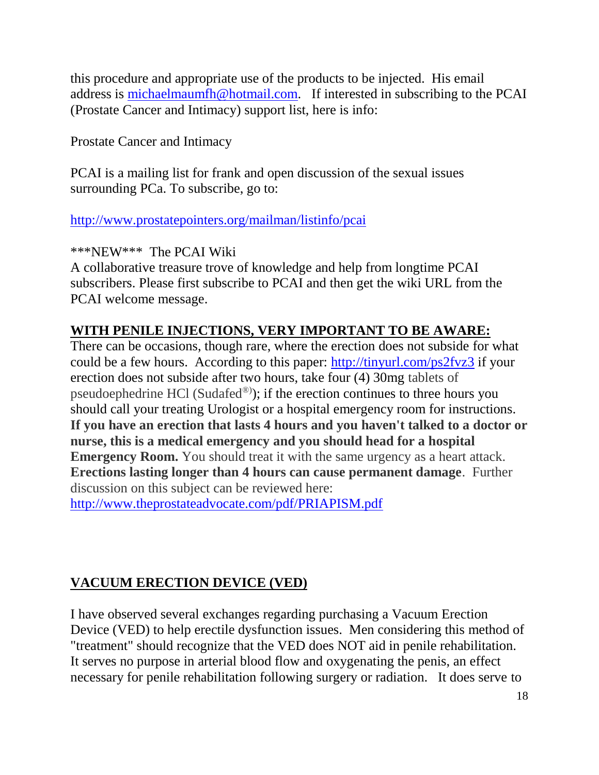this procedure and appropriate use of the products to be injected. His email address is [michaelmaumfh@hotmail.com.](mailto:michaelmaumfh@hotmail.com) If interested in subscribing to the PCAI (Prostate Cancer and Intimacy) support list, here is info:

Prostate Cancer and Intimacy

PCAI is a mailing list for frank and open discussion of the sexual issues surrounding PCa. To subscribe, go to:

<http://www.prostatepointers.org/mailman/listinfo/pcai>

\*\*\*NEW\*\*\* The PCAI Wiki

A collaborative treasure trove of knowledge and help from longtime PCAI subscribers. Please first subscribe to PCAI and then get the wiki URL from the PCAI welcome message.

# **WITH PENILE INJECTIONS, VERY IMPORTANT TO BE AWARE:**

There can be occasions, though rare, where the erection does not subside for what could be a few hours. According to this paper:<http://tinyurl.com/ps2fvz3> if your erection does not subside after two hours, take four (4) 30mg tablets of pseudoephedrine HCl (Sudafed®) ); if the erection continues to three hours you should call your treating Urologist or a hospital emergency room for instructions. **If you have an erection that lasts 4 hours and you haven't talked to a doctor or nurse, this is a medical emergency and you should head for a hospital Emergency Room.** You should treat it with the same urgency as a heart attack. **Erections lasting longer than 4 hours can cause permanent damage**. Further discussion on this subject can be reviewed here:

<http://www.theprostateadvocate.com/pdf/PRIAPISM.pdf>

# **VACUUM ERECTION DEVICE (VED)**

I have observed several exchanges regarding purchasing a Vacuum Erection Device (VED) to help erectile dysfunction issues. Men considering this method of "treatment" should recognize that the VED does NOT aid in penile rehabilitation. It serves no purpose in arterial blood flow and oxygenating the penis, an effect necessary for penile rehabilitation following surgery or radiation. It does serve to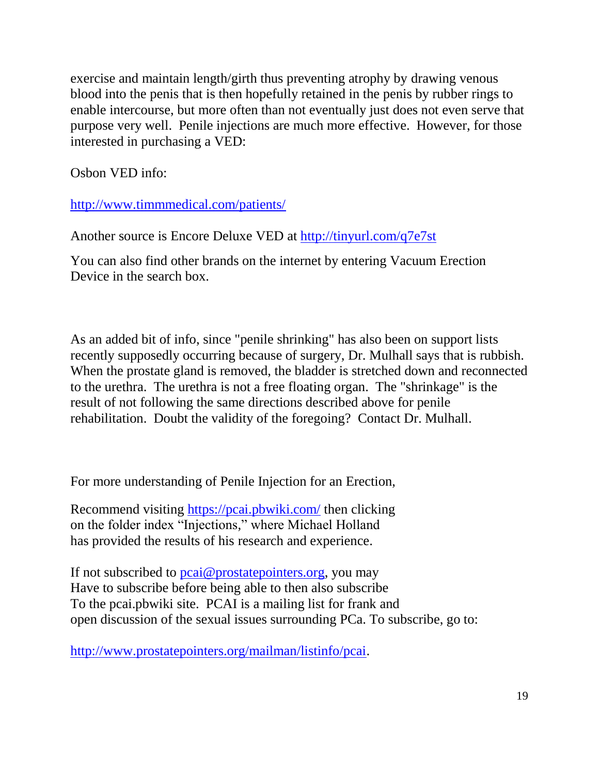exercise and maintain length/girth thus preventing atrophy by drawing venous blood into the penis that is then hopefully retained in the penis by rubber rings to enable intercourse, but more often than not eventually just does not even serve that purpose very well. Penile injections are much more effective. However, for those interested in purchasing a VED:

Osbon VED info:

<http://www.timmmedical.com/patients/>

Another source is Encore Deluxe VED at <http://tinyurl.com/q7e7st>

You can also find other brands on the internet by entering Vacuum Erection Device in the search box.

As an added bit of info, since "penile shrinking" has also been on support lists recently supposedly occurring because of surgery, Dr. Mulhall says that is rubbish. When the prostate gland is removed, the bladder is stretched down and reconnected to the urethra. The urethra is not a free floating organ. The "shrinkage" is the result of not following the same directions described above for penile rehabilitation. Doubt the validity of the foregoing? Contact Dr. Mulhall.

For more understanding of Penile Injection for an Erection,

Recommend visiting<https://pcai.pbwiki.com/> then clicking on the folder index "Injections," where Michael Holland has provided the results of his research and experience.

If not subscribed to [pcai@prostatepointers.org,](mailto:pcai@prostatepointers.org) you may Have to subscribe before being able to then also subscribe To the pcai.pbwiki site. PCAI is a mailing list for frank and open discussion of the sexual issues surrounding PCa. To subscribe, go to:

[http://www.prostatepointers.org/mailman/listinfo/pcai.](http://www.prostatepointers.org/mailman/listinfo/pcai)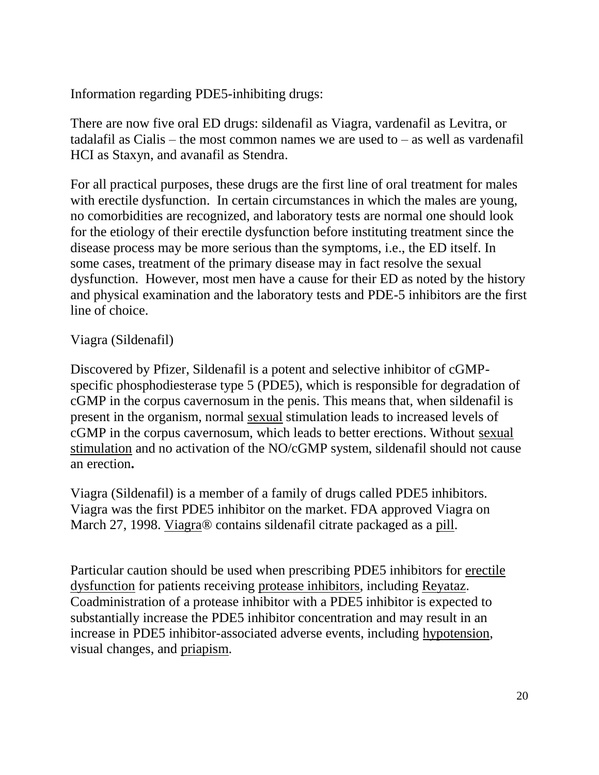Information regarding PDE5-inhibiting drugs:

There are now five oral ED drugs: sildenafil as Viagra, vardenafil as Levitra, or tadalafil as Cialis – the most common names we are used to – as well as vardenafil HCI as Staxyn, and avanafil as Stendra.

For all practical purposes, these drugs are the first line of oral treatment for males with erectile dysfunction. In certain circumstances in which the males are young, no comorbidities are recognized, and laboratory tests are normal one should look for the etiology of their erectile dysfunction before instituting treatment since the disease process may be more serious than the symptoms, i.e., the ED itself. In some cases, treatment of the primary disease may in fact resolve the sexual dysfunction. However, most men have a cause for their ED as noted by the history and physical examination and the laboratory tests and PDE-5 inhibitors are the first line of choice.

#### Viagra (Sildenafil)

Discovered by Pfizer, Sildenafil is a potent and selective inhibitor of cGMPspecific phosphodiesterase type 5 (PDE5), which is responsible for degradation of cGMP in the corpus cavernosum in the penis. This means that, when sildenafil is present in the organism, normal [sexual](http://en.wikipedia.org/wiki/Sexual) stimulation leads to increased levels of cGMP in the corpus cavernosum, which leads to better erections. Without [sexual](http://en.wikipedia.org/wiki/Sexual_stimulation)  [stimulation](http://en.wikipedia.org/wiki/Sexual_stimulation) and no activation of the NO/cGMP system, sildenafil should not cause an erection**.**

Viagra (Sildenafil) is a member of a family of drugs called PDE5 inhibitors. Viagra was the first PDE5 inhibitor on the market. FDA approved Viagra on March 27, 1998. [Viagra®](http://www.viagra.com/) contains sildenafil citrate packaged as a [pill.](http://en.wikipedia.org/wiki/Pill)

Particular caution should be used when prescribing PDE5 inhibitors for [erectile](http://www.viagrapunch.com/what_is_ed.html)  [dysfunction](http://www.viagrapunch.com/what_is_ed.html) for patients receiving [protease inhibitors,](http://en.wikipedia.org/wiki/Protease_inhibitor) including [Reyataz.](http://en.wikipedia.org/wiki/Reyataz) Coadministration of a protease inhibitor with a PDE5 inhibitor is expected to substantially increase the PDE5 inhibitor concentration and may result in an increase in PDE5 inhibitor-associated adverse events, including [hypotension,](http://en.wikipedia.org/wiki/Hypotension) visual changes, and [priapism.](http://en.wikipedia.org/wiki/Priapism)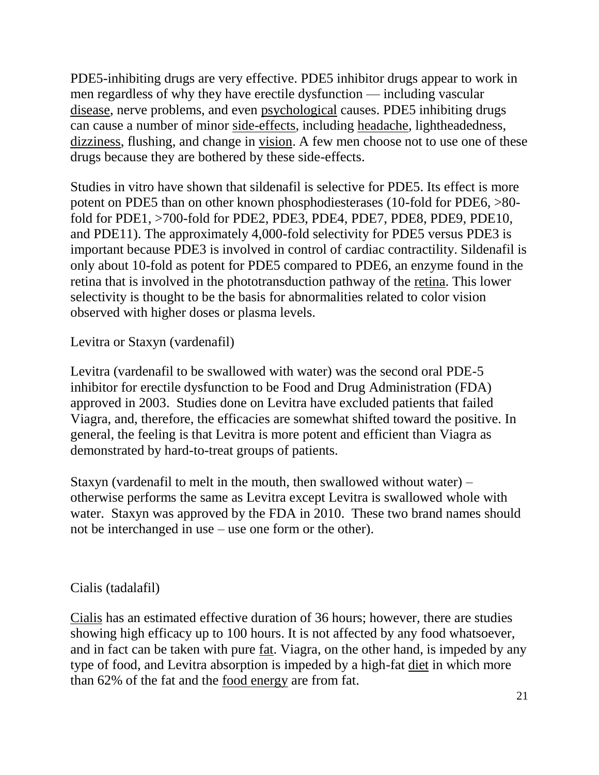PDE5-inhibiting drugs are very effective. PDE5 inhibitor drugs appear to work in men regardless of why they have erectile dysfunction — including vascular [disease,](http://en.wikipedia.org/wiki/Disease) nerve problems, and even [psychological](http://en.wikipedia.org/wiki/Psychological) causes. PDE5 inhibiting drugs can cause a number of minor [side-effects,](http://en.wikipedia.org/wiki/Adverse_drug_reaction) including [headache,](http://en.wikipedia.org/wiki/Headache) lightheadedness, [dizziness,](http://en.wikipedia.org/wiki/Dizziness) flushing, and change in [vision.](http://en.wikipedia.org/wiki/Visual_perception) A few men choose not to use one of these drugs because they are bothered by these side-effects.

Studies in vitro have shown that sildenafil is selective for PDE5. Its effect is more potent on PDE5 than on other known phosphodiesterases (10-fold for PDE6, >80 fold for PDE1, >700-fold for PDE2, PDE3, PDE4, PDE7, PDE8, PDE9, PDE10, and PDE11). The approximately 4,000-fold selectivity for PDE5 versus PDE3 is important because PDE3 is involved in control of cardiac contractility. Sildenafil is only about 10-fold as potent for PDE5 compared to PDE6, an enzyme found in the retina that is involved in the phototransduction pathway of the [retina.](http://en.wikipedia.org/wiki/Retina) This lower selectivity is thought to be the basis for abnormalities related to color vision observed with higher doses or plasma levels.

Levitra or Staxyn (vardenafil)

Levitra (vardenafil to be swallowed with water) was the second oral PDE-5 inhibitor for erectile dysfunction to be Food and Drug Administration (FDA) approved in 2003. Studies done on Levitra have excluded patients that failed Viagra, and, therefore, the efficacies are somewhat shifted toward the positive. In general, the feeling is that Levitra is more potent and efficient than Viagra as demonstrated by hard-to-treat groups of patients.

Staxyn (vardenafil to melt in the mouth, then swallowed without water) – otherwise performs the same as Levitra except Levitra is swallowed whole with water. Staxyn was approved by the FDA in 2010. These two brand names should not be interchanged in use – use one form or the other).

### Cialis (tadalafil)

[Cialis](http://en.wikipedia.org/wiki/Cialis) has an estimated effective duration of 36 hours; however, there are studies showing high efficacy up to 100 hours. It is not affected by any food whatsoever, and in fact can be taken with pure [fat.](http://en.wikipedia.org/wiki/Fat) Viagra, on the other hand, is impeded by any type of food, and Levitra absorption is impeded by a high-fat [diet](http://en.wikipedia.org/wiki/Diet_(nutrition)) in which more than 62% of the fat and the [food energy](http://en.wikipedia.org/wiki/Food_energy) are from fat.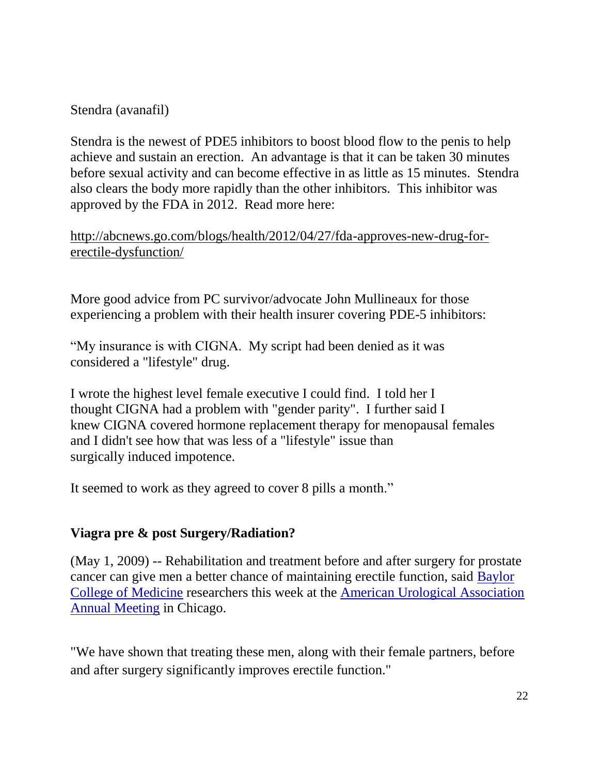#### Stendra (avanafil)

Stendra is the newest of PDE5 inhibitors to boost blood flow to the penis to help achieve and sustain an erection. An advantage is that it can be taken 30 minutes before sexual activity and can become effective in as little as 15 minutes. Stendra also clears the body more rapidly than the other inhibitors. This inhibitor was approved by the FDA in 2012. Read more here:

#### [http://abcnews.go.com/blogs/health/2012/04/27/fda-approves-new-drug-for](http://abcnews.go.com/blogs/health/2012/04/27/fda-approves-new-drug-for-erectile-dysfunction/)[erectile-dysfunction/](http://abcnews.go.com/blogs/health/2012/04/27/fda-approves-new-drug-for-erectile-dysfunction/)

More good advice from PC survivor/advocate John Mullineaux for those experiencing a problem with their health insurer covering PDE-5 inhibitors:

"My insurance is with CIGNA. My script had been denied as it was considered a "lifestyle" drug.

I wrote the highest level female executive I could find. I told her I thought CIGNA had a problem with "gender parity". I further said I knew CIGNA covered hormone replacement therapy for menopausal females and I didn't see how that was less of a "lifestyle" issue than surgically induced impotence.

It seemed to work as they agreed to cover 8 pills a month."

### **Viagra pre & post Surgery/Radiation?**

(May 1, 2009) -- Rehabilitation and treatment before and after surgery for prostate cancer can give men a better chance of maintaining erectile function, said [Baylor](http://www.bcm.edu/)  College [of Medicine](http://www.bcm.edu/) researchers this week at the [American Urological Association](http://www.aua2009.org/)  [Annual Meeting](http://www.aua2009.org/) in Chicago.

"We have shown that treating these men, along with their female partners, before and after surgery significantly improves erectile function."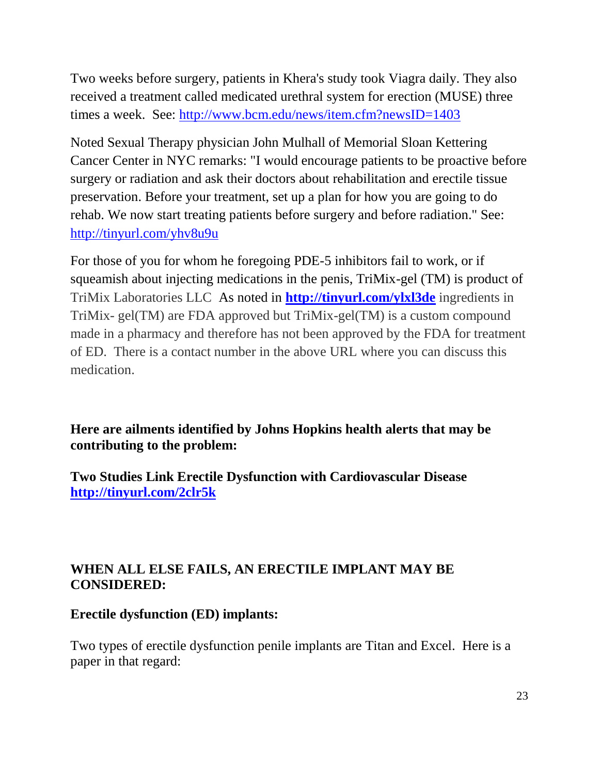Two weeks before surgery, patients in Khera's study took Viagra daily. They also received a treatment called medicated urethral system for erection (MUSE) three times a week. See:<http://www.bcm.edu/news/item.cfm?newsID=1403>

Noted Sexual Therapy physician John Mulhall of Memorial Sloan Kettering Cancer Center in NYC remarks: "I would encourage patients to be proactive before surgery or radiation and ask their doctors about rehabilitation and erectile tissue preservation. Before your treatment, set up a plan for how you are going to do rehab. We now start treating patients before surgery and before radiation." See: <http://tinyurl.com/yhv8u9u>

For those of you for whom he foregoing PDE-5 inhibitors fail to work, or if squeamish about injecting medications in the penis, TriMix-gel (TM) is product of TriMix Laboratories LLC As noted in **<http://tinyurl.com/ylxl3de>** ingredients in TriMix- gel(TM) are FDA approved but TriMix-gel(TM) is a custom compound made in a pharmacy and therefore has not been approved by the FDA for treatment of ED. There is a contact number in the above URL where you can discuss this medication.

**Here are ailments identified by Johns Hopkins health alerts that may be contributing to the problem:**

**Two Studies Link Erectile Dysfunction with Cardiovascular Disease <http://tinyurl.com/2clr5k>**

### **WHEN ALL ELSE FAILS, AN ERECTILE IMPLANT MAY BE CONSIDERED:**

### **Erectile dysfunction (ED) implants:**

Two types of erectile dysfunction penile implants are Titan and Excel. Here is a paper in that regard: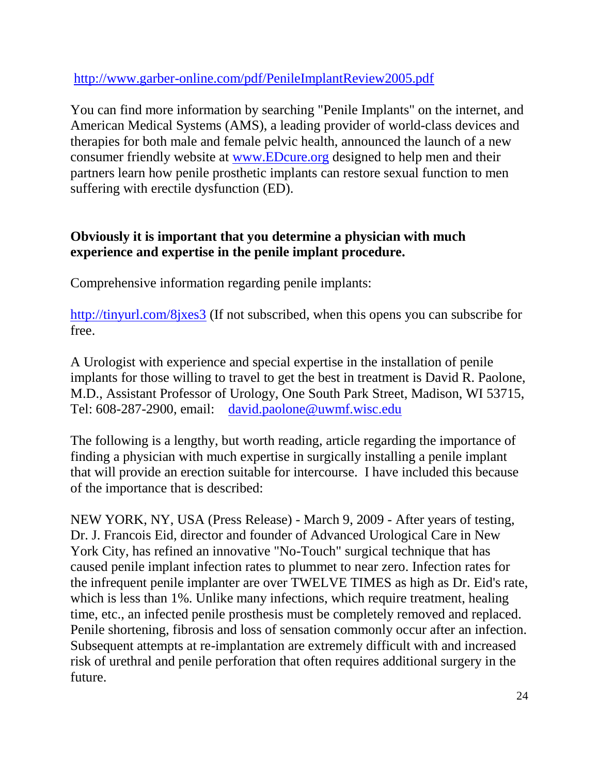<http://www.garber-online.com/pdf/PenileImplantReview2005.pdf>

You can find more information by searching "Penile Implants" on the internet, and American Medical Systems (AMS), a leading provider of world-class devices and therapies for both male and female pelvic health, announced the launch of a new consumer friendly website at [www.EDcure.org](http://www.edcure.org/) designed to help men and their partners learn how penile prosthetic implants can restore sexual function to men suffering with erectile dysfunction (ED).

### **Obviously it is important that you determine a physician with much experience and expertise in the penile implant procedure.**

Comprehensive information regarding penile implants:

<http://tinyurl.com/8jxes3> (If not subscribed, when this opens you can subscribe for free.

A Urologist with experience and special expertise in the installation of penile implants for those willing to travel to get the best in treatment is David R. Paolone, M.D., Assistant Professor of Urology, One South Park Street, Madison, WI 53715, Tel: 608-287-2900, email: [david.paolone@uwmf.wisc.edu](mailto:david.paolone@uwmf.wisc.edu)

The following is a lengthy, but worth reading, article regarding the importance of finding a physician with much expertise in surgically installing a penile implant that will provide an erection suitable for intercourse. I have included this because of the importance that is described:

NEW YORK, NY, USA (Press Release) - March 9, 2009 - After years of testing, Dr. J. Francois Eid, director and founder of Advanced Urological Care in New York City, has refined an innovative "No-Touch" surgical technique that has caused penile implant infection rates to plummet to near zero. Infection rates for the infrequent penile implanter are over TWELVE TIMES as high as Dr. Eid's rate, which is less than 1%. Unlike many infections, which require treatment, healing time, etc., an infected penile prosthesis must be completely removed and replaced. Penile shortening, fibrosis and loss of sensation commonly occur after an infection. Subsequent attempts at re-implantation are extremely difficult with and increased risk of urethral and penile perforation that often requires additional surgery in the future.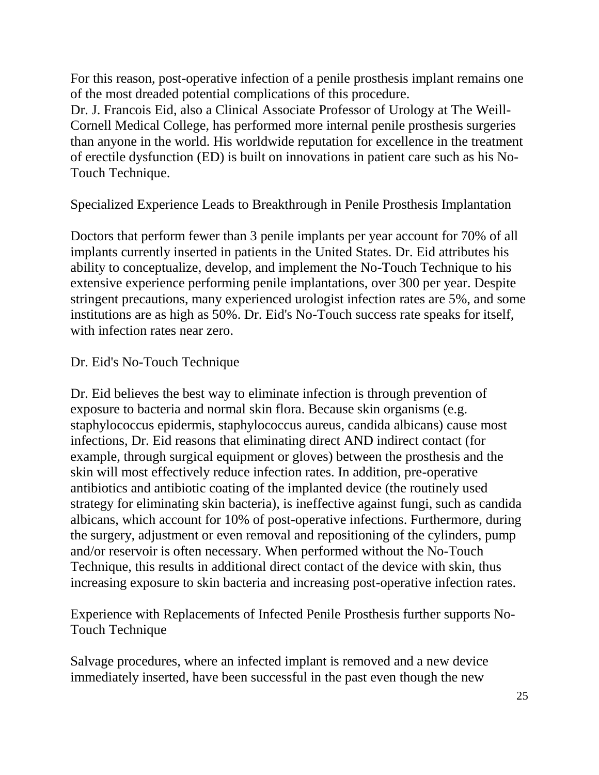For this reason, post-operative infection of a penile prosthesis implant remains one of the most dreaded potential complications of this procedure. Dr. J. Francois Eid, also a Clinical Associate Professor of Urology at The Weill-Cornell Medical College, has performed more internal penile prosthesis surgeries than anyone in the world. His worldwide reputation for excellence in the treatment of erectile dysfunction (ED) is built on innovations in patient care such as his No-Touch Technique.

Specialized Experience Leads to Breakthrough in Penile Prosthesis Implantation

Doctors that perform fewer than 3 penile implants per year account for 70% of all implants currently inserted in patients in the United States. Dr. Eid attributes his ability to conceptualize, develop, and implement the No-Touch Technique to his extensive experience performing penile implantations, over 300 per year. Despite stringent precautions, many experienced urologist infection rates are 5%, and some institutions are as high as 50%. Dr. Eid's No-Touch success rate speaks for itself, with infection rates near zero.

#### Dr. Eid's No-Touch Technique

Dr. Eid believes the best way to eliminate infection is through prevention of exposure to bacteria and normal skin flora. Because skin organisms (e.g. staphylococcus epidermis, staphylococcus aureus, candida albicans) cause most infections, Dr. Eid reasons that eliminating direct AND indirect contact (for example, through surgical equipment or gloves) between the prosthesis and the skin will most effectively reduce infection rates. In addition, pre-operative antibiotics and antibiotic coating of the implanted device (the routinely used strategy for eliminating skin bacteria), is ineffective against fungi, such as candida albicans, which account for 10% of post-operative infections. Furthermore, during the surgery, adjustment or even removal and repositioning of the cylinders, pump and/or reservoir is often necessary. When performed without the No-Touch Technique, this results in additional direct contact of the device with skin, thus increasing exposure to skin bacteria and increasing post-operative infection rates.

Experience with Replacements of Infected Penile Prosthesis further supports No-Touch Technique

Salvage procedures, where an infected implant is removed and a new device immediately inserted, have been successful in the past even though the new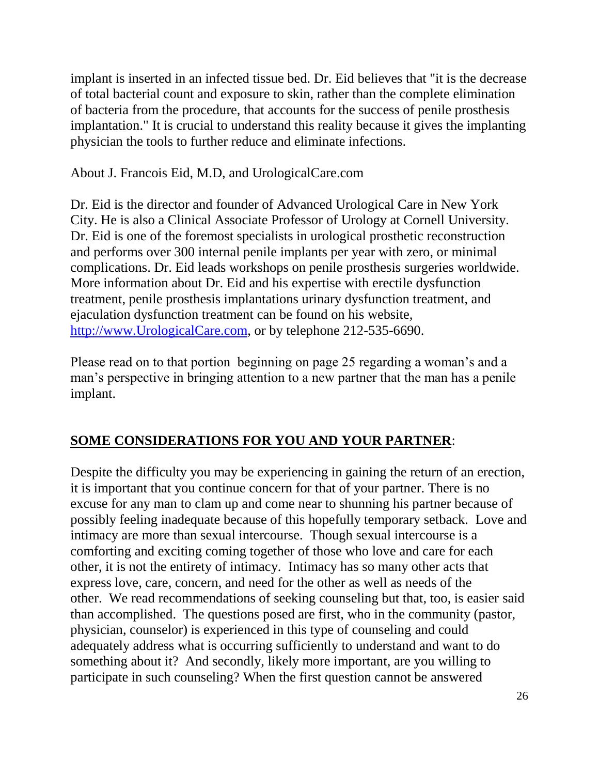implant is inserted in an infected tissue bed. Dr. Eid believes that "it is the decrease of total bacterial count and exposure to skin, rather than the complete elimination of bacteria from the procedure, that accounts for the success of penile prosthesis implantation." It is crucial to understand this reality because it gives the implanting physician the tools to further reduce and eliminate infections.

About J. Francois Eid, M.D, and UrologicalCare.com

Dr. Eid is the director and founder of Advanced Urological Care in New York City. He is also a Clinical Associate Professor of Urology at Cornell University. Dr. Eid is one of the foremost specialists in urological prosthetic reconstruction and performs over 300 internal penile implants per year with zero, or minimal complications. Dr. Eid leads workshops on penile prosthesis surgeries worldwide. More information about Dr. Eid and his expertise with erectile dysfunction treatment, penile prosthesis implantations urinary dysfunction treatment, and ejaculation dysfunction treatment can be found on his website, [http://www.UrologicalCare.com,](http://www.urologicalcare.com/) or by telephone 212-535-6690.

Please read on to that portion beginning on page 25 regarding a woman's and a man's perspective in bringing attention to a new partner that the man has a penile implant.

# **SOME CONSIDERATIONS FOR YOU AND YOUR PARTNER**:

Despite the difficulty you may be experiencing in gaining the return of an erection, it is important that you continue concern for that of your partner. There is no excuse for any man to clam up and come near to shunning his partner because of possibly feeling inadequate because of this hopefully temporary setback. Love and intimacy are more than sexual intercourse. Though sexual intercourse is a comforting and exciting coming together of those who love and care for each other, it is not the entirety of intimacy. Intimacy has so many other acts that express love, care, concern, and need for the other as well as needs of the other. We read recommendations of seeking counseling but that, too, is easier said than accomplished. The questions posed are first, who in the community (pastor, physician, counselor) is experienced in this type of counseling and could adequately address what is occurring sufficiently to understand and want to do something about it? And secondly, likely more important, are you willing to participate in such counseling? When the first question cannot be answered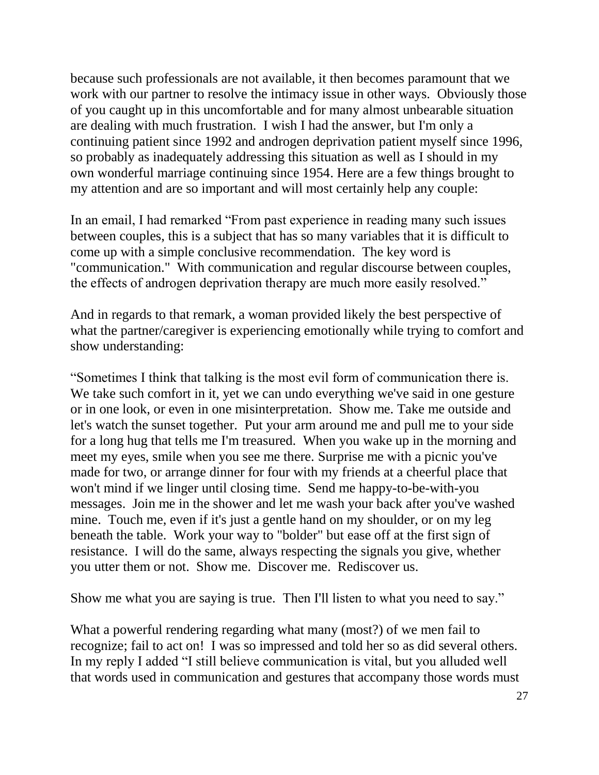because such professionals are not available, it then becomes paramount that we work with our partner to resolve the intimacy issue in other ways. Obviously those of you caught up in this uncomfortable and for many almost unbearable situation are dealing with much frustration. I wish I had the answer, but I'm only a continuing patient since 1992 and androgen deprivation patient myself since 1996, so probably as inadequately addressing this situation as well as I should in my own wonderful marriage continuing since 1954. Here are a few things brought to my attention and are so important and will most certainly help any couple:

In an email, I had remarked "From past experience in reading many such issues between couples, this is a subject that has so many variables that it is difficult to come up with a simple conclusive recommendation. The key word is "communication." With communication and regular discourse between couples, the effects of androgen deprivation therapy are much more easily resolved."

And in regards to that remark, a woman provided likely the best perspective of what the partner/caregiver is experiencing emotionally while trying to comfort and show understanding:

"Sometimes I think that talking is the most evil form of communication there is. We take such comfort in it, yet we can undo everything we've said in one gesture or in one look, or even in one misinterpretation. Show me. Take me outside and let's watch the sunset together. Put your arm around me and pull me to your side for a long hug that tells me I'm treasured. When you wake up in the morning and meet my eyes, smile when you see me there. Surprise me with a picnic you've made for two, or arrange dinner for four with my friends at a cheerful place that won't mind if we linger until closing time. Send me happy-to-be-with-you messages. Join me in the shower and let me wash your back after you've washed mine. Touch me, even if it's just a gentle hand on my shoulder, or on my leg beneath the table. Work your way to "bolder" but ease off at the first sign of resistance. I will do the same, always respecting the signals you give, whether you utter them or not. Show me. Discover me. Rediscover us.

Show me what you are saying is true. Then I'll listen to what you need to say."

What a powerful rendering regarding what many (most?) of we men fail to recognize; fail to act on! I was so impressed and told her so as did several others. In my reply I added "I still believe communication is vital, but you alluded well that words used in communication and gestures that accompany those words must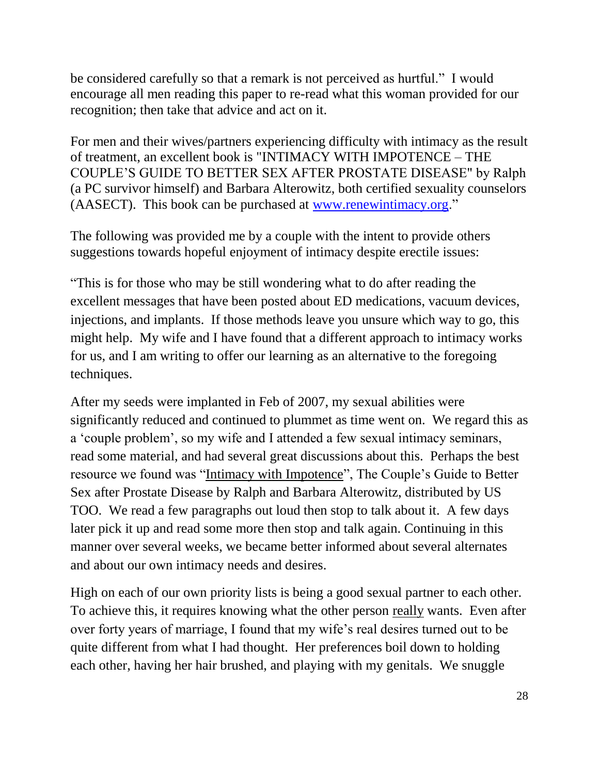be considered carefully so that a remark is not perceived as hurtful." I would encourage all men reading this paper to re-read what this woman provided for our recognition; then take that advice and act on it.

For men and their wives/partners experiencing difficulty with intimacy as the result of treatment, an excellent book is "INTIMACY WITH IMPOTENCE – THE COUPLE'S GUIDE TO BETTER SEX AFTER PROSTATE DISEASE" by Ralph (a PC survivor himself) and Barbara Alterowitz, both certified sexuality counselors (AASECT). This book can be purchased at [www.renewintimacy.org.](http://www.renewintimacy.org/)"

The following was provided me by a couple with the intent to provide others suggestions towards hopeful enjoyment of intimacy despite erectile issues:

"This is for those who may be still wondering what to do after reading the excellent messages that have been posted about ED medications, vacuum devices, injections, and implants. If those methods leave you unsure which way to go, this might help. My wife and I have found that a different approach to intimacy works for us, and I am writing to offer our learning as an alternative to the foregoing techniques.

After my seeds were implanted in Feb of 2007, my sexual abilities were significantly reduced and continued to plummet as time went on. We regard this as a 'couple problem', so my wife and I attended a few sexual intimacy seminars, read some material, and had several great discussions about this. Perhaps the best resource we found was "Intimacy with Impotence", The Couple's Guide to Better Sex after Prostate Disease by Ralph and Barbara Alterowitz, distributed by US TOO. We read a few paragraphs out loud then stop to talk about it. A few days later pick it up and read some more then stop and talk again. Continuing in this manner over several weeks, we became better informed about several alternates and about our own intimacy needs and desires.

High on each of our own priority lists is being a good sexual partner to each other. To achieve this, it requires knowing what the other person really wants. Even after over forty years of marriage, I found that my wife's real desires turned out to be quite different from what I had thought. Her preferences boil down to holding each other, having her hair brushed, and playing with my genitals. We snuggle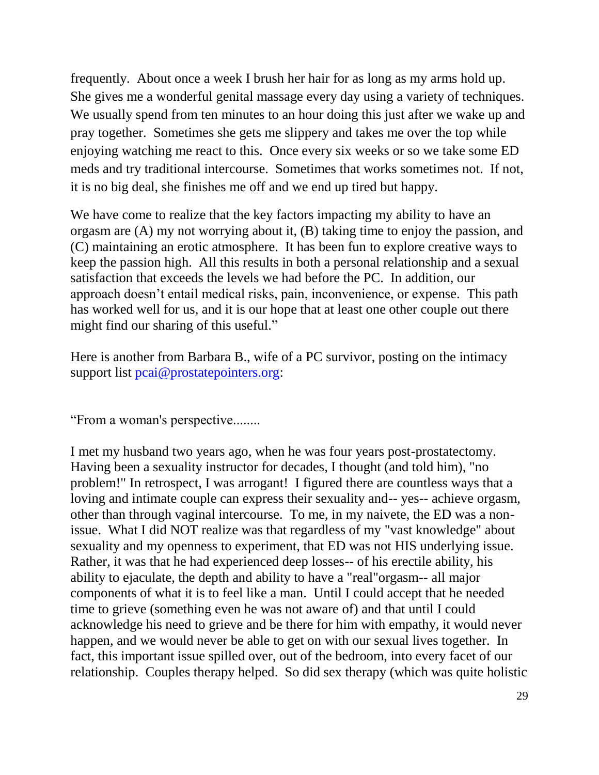frequently. About once a week I brush her hair for as long as my arms hold up. She gives me a wonderful genital massage every day using a variety of techniques. We usually spend from ten minutes to an hour doing this just after we wake up and pray together. Sometimes she gets me slippery and takes me over the top while enjoying watching me react to this. Once every six weeks or so we take some ED meds and try traditional intercourse. Sometimes that works sometimes not. If not, it is no big deal, she finishes me off and we end up tired but happy.

We have come to realize that the key factors impacting my ability to have an orgasm are (A) my not worrying about it, (B) taking time to enjoy the passion, and (C) maintaining an erotic atmosphere. It has been fun to explore creative ways to keep the passion high. All this results in both a personal relationship and a sexual satisfaction that exceeds the levels we had before the PC. In addition, our approach doesn't entail medical risks, pain, inconvenience, or expense. This path has worked well for us, and it is our hope that at least one other couple out there might find our sharing of this useful."

Here is another from Barbara B., wife of a PC survivor, posting on the intimacy support list [pcai@prostatepointers.org:](mailto:pcai@prostatepointers.org)

"From a woman's perspective........

I met my husband two years ago, when he was four years post-prostatectomy. Having been a sexuality instructor for decades, I thought (and told him), "no problem!" In retrospect, I was arrogant! I figured there are countless ways that a loving and intimate couple can express their sexuality and-- yes-- achieve orgasm, other than through vaginal intercourse. To me, in my naivete, the ED was a nonissue. What I did NOT realize was that regardless of my "vast knowledge" about sexuality and my openness to experiment, that ED was not HIS underlying issue. Rather, it was that he had experienced deep losses-- of his erectile ability, his ability to ejaculate, the depth and ability to have a "real"orgasm-- all major components of what it is to feel like a man. Until I could accept that he needed time to grieve (something even he was not aware of) and that until I could acknowledge his need to grieve and be there for him with empathy, it would never happen, and we would never be able to get on with our sexual lives together. In fact, this important issue spilled over, out of the bedroom, into every facet of our relationship. Couples therapy helped. So did sex therapy (which was quite holistic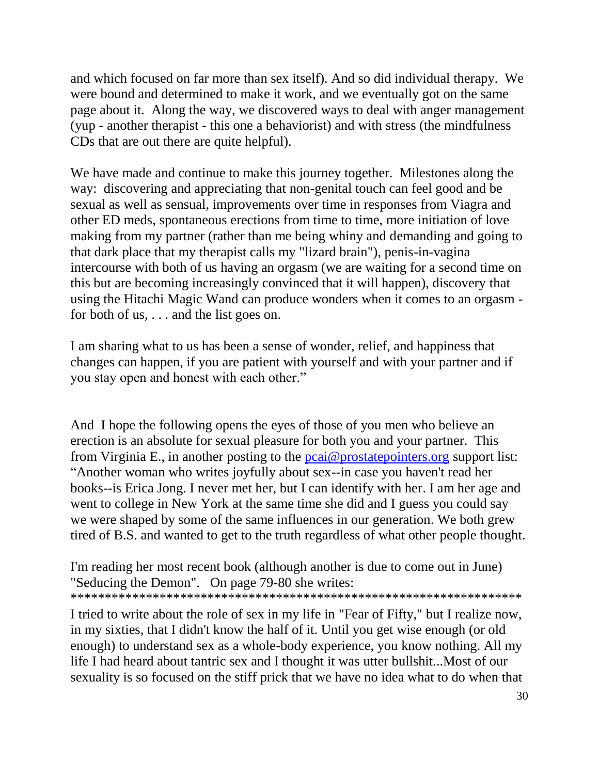and which focused on far more than sex itself). And so did individual therapy. We were bound and determined to make it work, and we eventually got on the same page about it. Along the way, we discovered ways to deal with anger management (yup - another therapist - this one a behaviorist) and with stress (the mindfulness CDs that are out there are quite helpful).

We have made and continue to make this journey together. Milestones along the way: discovering and appreciating that non-genital touch can feel good and be sexual as well as sensual, improvements over time in responses from Viagra and other ED meds, spontaneous erections from time to time, more initiation of love making from my partner (rather than me being whiny and demanding and going to that dark place that my therapist calls my "lizard brain"), penis-in-vagina intercourse with both of us having an orgasm (we are waiting for a second time on this but are becoming increasingly convinced that it will happen), discovery that using the Hitachi Magic Wand can produce wonders when it comes to an orgasm for both of us, . . . and the list goes on.

I am sharing what to us has been a sense of wonder, relief, and happiness that changes can happen, if you are patient with yourself and with your partner and if you stay open and honest with each other."

And I hope the following opens the eyes of those of you men who believe an erection is an absolute for sexual pleasure for both you and your partner. This from Virginia E., in another posting to the [pcai@prostatepointers.org](mailto:pcai@prostatepointers.org) support list: "Another woman who writes joyfully about sex--in case you haven't read her books--is Erica Jong. I never met her, but I can identify with her. I am her age and went to college in New York at the same time she did and I guess you could say we were shaped by some of the same influences in our generation. We both grew tired of B.S. and wanted to get to the truth regardless of what other people thought.

I'm reading her most recent book (although another is due to come out in June) "Seducing the Demon". On page 79-80 she writes: \*\*\*\*\*\*\*\*\*\*\*\*\*\*\*\*\*\*\*\*\*\*\*\*\*\*\*\*\*\*\*\*\*\*\*\*\*\*\*\*\*\*\*\*\*\*\*\*\*\*\*\*\*\*\*\*\*\*\*\*\*\*\*\*\*\*

I tried to write about the role of sex in my life in "Fear of Fifty," but I realize now, in my sixties, that I didn't know the half of it. Until you get wise enough (or old enough) to understand sex as a whole-body experience, you know nothing. All my life I had heard about tantric sex and I thought it was utter bullshit...Most of our sexuality is so focused on the stiff prick that we have no idea what to do when that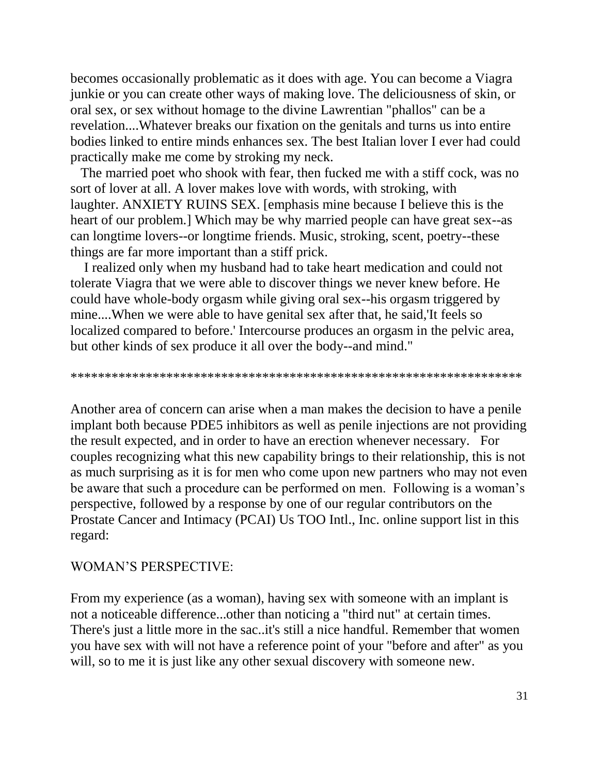becomes occasionally problematic as it does with age. You can become a Viagra junkie or you can create other ways of making love. The deliciousness of skin, or oral sex, or sex without homage to the divine Lawrentian "phallos" can be a revelation....Whatever breaks our fixation on the genitals and turns us into entire bodies linked to entire minds enhances sex. The best Italian lover I ever had could practically make me come by stroking my neck.

 The married poet who shook with fear, then fucked me with a stiff cock, was no sort of lover at all. A lover makes love with words, with stroking, with laughter. ANXIETY RUINS SEX. [emphasis mine because I believe this is the heart of our problem.] Which may be why married people can have great sex--as can longtime lovers--or longtime friends. Music, stroking, scent, poetry--these things are far more important than a stiff prick.

 I realized only when my husband had to take heart medication and could not tolerate Viagra that we were able to discover things we never knew before. He could have whole-body orgasm while giving oral sex--his orgasm triggered by mine....When we were able to have genital sex after that, he said,'It feels so localized compared to before.' Intercourse produces an orgasm in the pelvic area, but other kinds of sex produce it all over the body--and mind."

\*\*\*\*\*\*\*\*\*\*\*\*\*\*\*\*\*\*\*\*\*\*\*\*\*\*\*\*\*\*\*\*\*\*\*\*\*\*\*\*\*\*\*\*\*\*\*\*\*\*\*\*\*\*\*\*\*\*\*\*\*\*\*\*\*\*

Another area of concern can arise when a man makes the decision to have a penile implant both because PDE5 inhibitors as well as penile injections are not providing the result expected, and in order to have an erection whenever necessary. For couples recognizing what this new capability brings to their relationship, this is not as much surprising as it is for men who come upon new partners who may not even be aware that such a procedure can be performed on men. Following is a woman's perspective, followed by a response by one of our regular contributors on the Prostate Cancer and Intimacy (PCAI) Us TOO Intl., Inc. online support list in this regard:

#### WOMAN'S PERSPECTIVE:

From my experience (as a woman), having sex with someone with an implant is not a noticeable difference...other than noticing a "third nut" at certain times. There's just a little more in the sac..it's still a nice handful. Remember that women you have sex with will not have a reference point of your "before and after" as you will, so to me it is just like any other sexual discovery with someone new.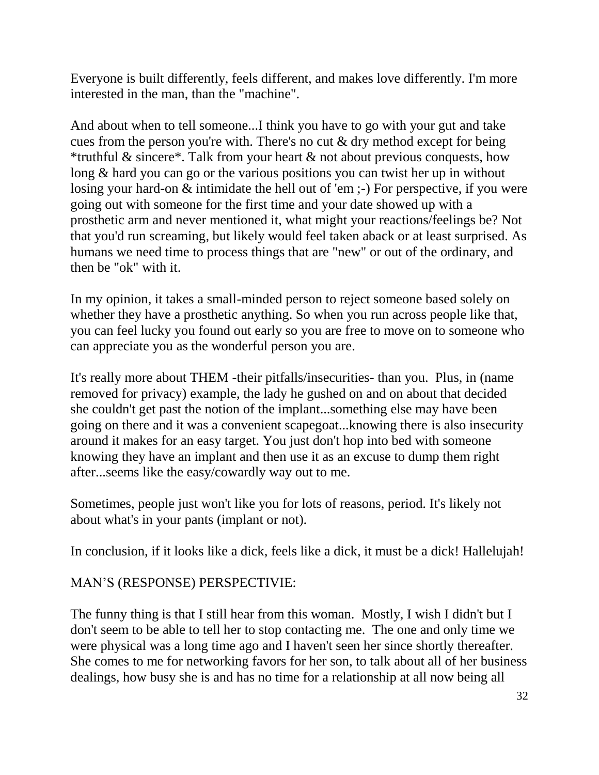Everyone is built differently, feels different, and makes love differently. I'm more interested in the man, than the "machine".

And about when to tell someone...I think you have to go with your gut and take cues from the person you're with. There's no cut & dry method except for being \*truthful  $& \text{since } x^*$ . Talk from your heart  $& \text{not about previous conquests, how}$ long & hard you can go or the various positions you can twist her up in without losing your hard-on  $\&$  intimidate the hell out of 'em ;-) For perspective, if you were going out with someone for the first time and your date showed up with a prosthetic arm and never mentioned it, what might your reactions/feelings be? Not that you'd run screaming, but likely would feel taken aback or at least surprised. As humans we need time to process things that are "new" or out of the ordinary, and then be "ok" with it.

In my opinion, it takes a small-minded person to reject someone based solely on whether they have a prosthetic anything. So when you run across people like that, you can feel lucky you found out early so you are free to move on to someone who can appreciate you as the wonderful person you are.

It's really more about THEM -their pitfalls/insecurities- than you. Plus, in (name removed for privacy) example, the lady he gushed on and on about that decided she couldn't get past the notion of the implant...something else may have been going on there and it was a convenient scapegoat...knowing there is also insecurity around it makes for an easy target. You just don't hop into bed with someone knowing they have an implant and then use it as an excuse to dump them right after...seems like the easy/cowardly way out to me.

Sometimes, people just won't like you for lots of reasons, period. It's likely not about what's in your pants (implant or not).

In conclusion, if it looks like a dick, feels like a dick, it must be a dick! Hallelujah!

### MAN'S (RESPONSE) PERSPECTIVIE:

The funny thing is that I still hear from this woman. Mostly, I wish I didn't but I don't seem to be able to tell her to stop contacting me. The one and only time we were physical was a long time ago and I haven't seen her since shortly thereafter. She comes to me for networking favors for her son, to talk about all of her business dealings, how busy she is and has no time for a relationship at all now being all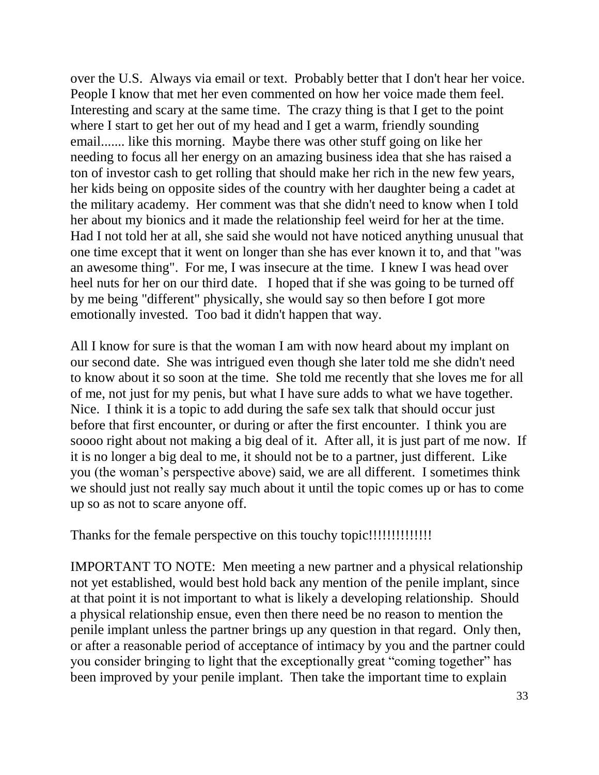over the U.S. Always via email or text. Probably better that I don't hear her voice. People I know that met her even commented on how her voice made them feel. Interesting and scary at the same time. The crazy thing is that I get to the point where I start to get her out of my head and I get a warm, friendly sounding email....... like this morning. Maybe there was other stuff going on like her needing to focus all her energy on an amazing business idea that she has raised a ton of investor cash to get rolling that should make her rich in the new few years, her kids being on opposite sides of the country with her daughter being a cadet at the military academy. Her comment was that she didn't need to know when I told her about my bionics and it made the relationship feel weird for her at the time. Had I not told her at all, she said she would not have noticed anything unusual that one time except that it went on longer than she has ever known it to, and that "was an awesome thing". For me, I was insecure at the time. I knew I was head over heel nuts for her on our third date. I hoped that if she was going to be turned off by me being "different" physically, she would say so then before I got more emotionally invested. Too bad it didn't happen that way.

All I know for sure is that the woman I am with now heard about my implant on our second date. She was intrigued even though she later told me she didn't need to know about it so soon at the time. She told me recently that she loves me for all of me, not just for my penis, but what I have sure adds to what we have together. Nice. I think it is a topic to add during the safe sex talk that should occur just before that first encounter, or during or after the first encounter. I think you are soooo right about not making a big deal of it. After all, it is just part of me now. If it is no longer a big deal to me, it should not be to a partner, just different. Like you (the woman's perspective above) said, we are all different. I sometimes think we should just not really say much about it until the topic comes up or has to come up so as not to scare anyone off.

Thanks for the female perspective on this touchy topic!!!!!!!!!!!!!!

IMPORTANT TO NOTE: Men meeting a new partner and a physical relationship not yet established, would best hold back any mention of the penile implant, since at that point it is not important to what is likely a developing relationship. Should a physical relationship ensue, even then there need be no reason to mention the penile implant unless the partner brings up any question in that regard. Only then, or after a reasonable period of acceptance of intimacy by you and the partner could you consider bringing to light that the exceptionally great "coming together" has been improved by your penile implant. Then take the important time to explain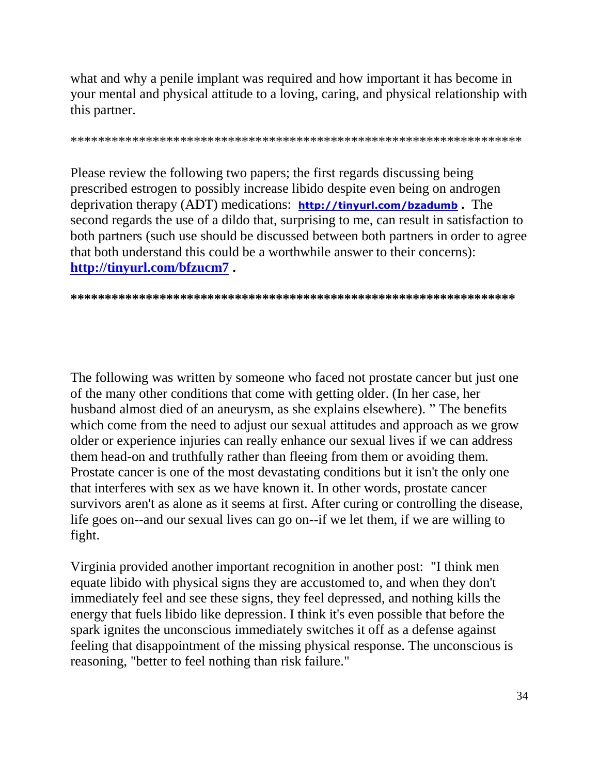what and why a penile implant was required and how important it has become in your mental and physical attitude to a loving, caring, and physical relationship with this partner.

\*\*\*\*\*\*\*\*\*\*\*\*\*\*\*\*\*\*\*\*\*\*\*\*\*\*\*\*\*\*\*\*\*\*\*\*\*\*\*\*\*\*\*\*\*\*\*\*\*\*\*\*\*\*\*\*\*\*\*\*\*\*\*\*\*\*

Please review the following two papers; the first regards discussing being prescribed estrogen to possibly increase libido despite even being on androgen deprivation therapy (ADT) medications: **<http://tinyurl.com/bzadumb> .** The second regards the use of a dildo that, surprising to me, can result in satisfaction to both partners (such use should be discussed between both partners in order to agree that both understand this could be a worthwhile answer to their concerns): **<http://tinyurl.com/bfzucm7> .**

**\*\*\*\*\*\*\*\*\*\*\*\*\*\*\*\*\*\*\*\*\*\*\*\*\*\*\*\*\*\*\*\*\*\*\*\*\*\*\*\*\*\*\*\*\*\*\*\*\*\*\*\*\*\*\*\*\*\*\*\*\*\*\*\*\***

The following was written by someone who faced not prostate cancer but just one of the many other conditions that come with getting older. (In her case, her husband almost died of an aneurysm, as she explains elsewhere). " The benefits which come from the need to adjust our sexual attitudes and approach as we grow older or experience injuries can really enhance our sexual lives if we can address them head-on and truthfully rather than fleeing from them or avoiding them. Prostate cancer is one of the most devastating conditions but it isn't the only one that interferes with sex as we have known it. In other words, prostate cancer survivors aren't as alone as it seems at first. After curing or controlling the disease, life goes on--and our sexual lives can go on--if we let them, if we are willing to fight.

Virginia provided another important recognition in another post: "I think men equate libido with physical signs they are accustomed to, and when they don't immediately feel and see these signs, they feel depressed, and nothing kills the energy that fuels libido like depression. I think it's even possible that before the spark ignites the unconscious immediately switches it off as a defense against feeling that disappointment of the missing physical response. The unconscious is reasoning, "better to feel nothing than risk failure."